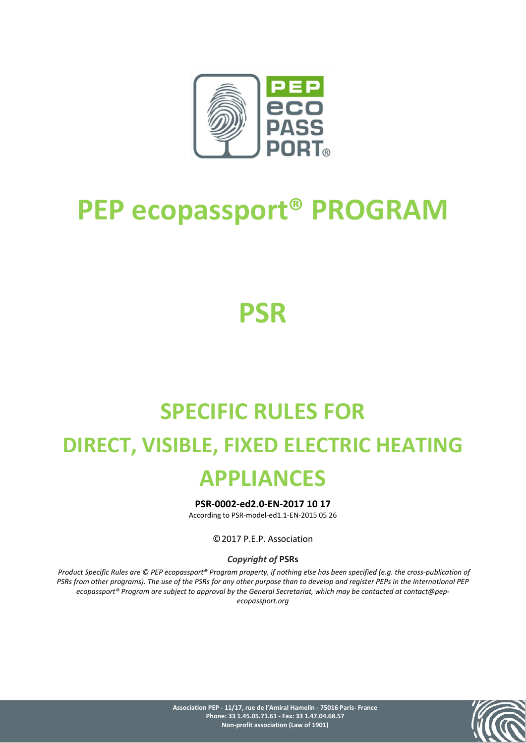

# **PEP ecopassport® PROGRAM**

# **PSR**

# **SPECIFIC RULES FOR DIRECT, VISIBLE, FIXED ELECTRIC HEATING APPLIANCES**

**PSR-0002-ed2.0-EN-2017 10 17**

According to PSR-model-ed1.1-EN-2015 05 26

©2017 P.E.P. Association

## *Copyright of* **PSRs**

*Product Specific Rules are © PEP ecopassport® Program property, if nothing else has been specified (e.g. the cross-publication of PSRs from other programs). The use of the PSRs for any other purpose than to develop and register PEPs in the International PEP ecopassport® Program are subject to approval by the General Secretariat, which may be contacted at contact@pepecopassport.org*

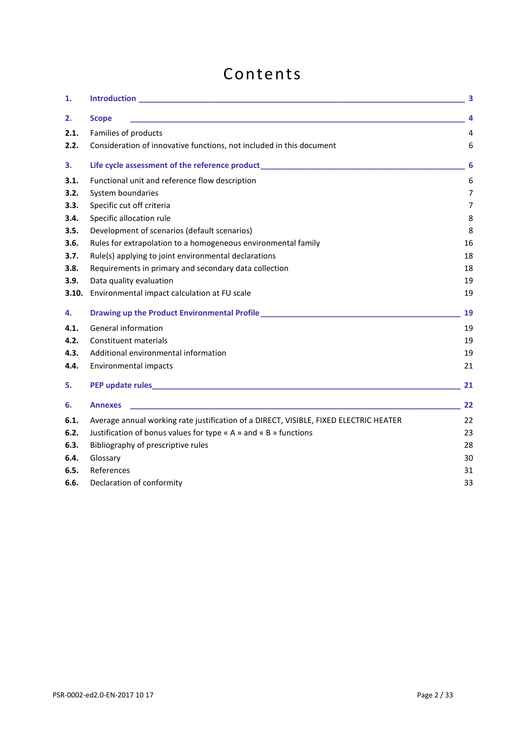# Contents

| 1.    |                                                                                              | 3  |
|-------|----------------------------------------------------------------------------------------------|----|
| 2.    | <b>Scope</b>                                                                                 | 4  |
| 2.1.  | Families of products                                                                         | 4  |
| 2.2.  | Consideration of innovative functions, not included in this document                         | 6  |
| 3.    |                                                                                              | 6  |
| 3.1.  | Functional unit and reference flow description                                               | 6  |
| 3.2.  | System boundaries                                                                            | 7  |
| 3.3.  | Specific cut off criteria                                                                    | 7  |
| 3.4.  | Specific allocation rule                                                                     | 8  |
| 3.5.  | Development of scenarios (default scenarios)                                                 | 8  |
| 3.6.  | Rules for extrapolation to a homogeneous environmental family                                | 16 |
| 3.7.  | Rule(s) applying to joint environmental declarations                                         | 18 |
| 3.8.  | Requirements in primary and secondary data collection                                        | 18 |
| 3.9.  | Data quality evaluation                                                                      | 19 |
| 3.10. | Environmental impact calculation at FU scale                                                 | 19 |
| 4.    | Drawing up the Product Environmental Profile ___________________________________             | 19 |
| 4.1.  | General information                                                                          | 19 |
| 4.2.  | <b>Constituent materials</b>                                                                 | 19 |
| 4.3.  | Additional environmental information                                                         | 19 |
| 4.4.  | Environmental impacts                                                                        | 21 |
| 5.    |                                                                                              | 21 |
| 6.    | <b>Annexes</b>                                                                               | 22 |
| 6.1.  | Average annual working rate justification of a DIRECT, VISIBLE, FIXED ELECTRIC HEATER        | 22 |
| 6.2.  | Justification of bonus values for type $\kappa$ A $\omega$ and $\kappa$ B $\omega$ functions | 23 |
| 6.3.  | Bibliography of prescriptive rules                                                           | 28 |
| 6.4.  | Glossary                                                                                     | 30 |
| 6.5.  | References                                                                                   | 31 |
| 6.6.  | Declaration of conformity                                                                    | 33 |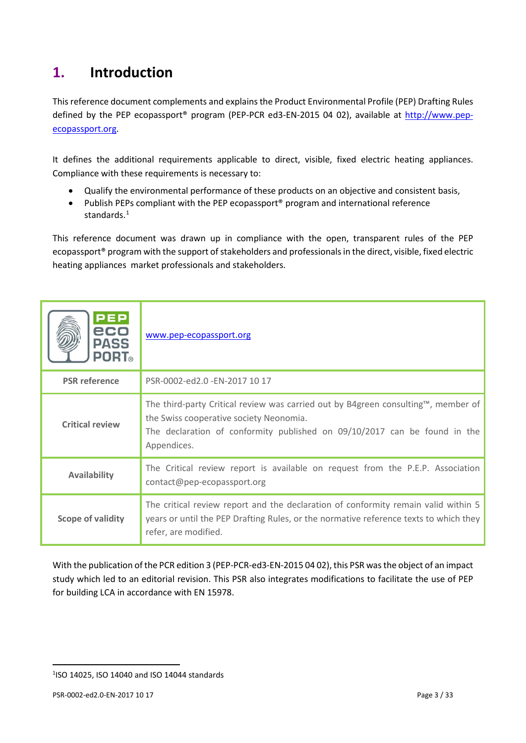# <span id="page-2-0"></span>**1. Introduction**

This reference document complements and explains the Product Environmental Profile (PEP) Drafting Rules defined by the PEP ecopassport® program (PEP-PCR ed3-EN-2015 04 02), available at [http://www.pep](http://www.pep-ecopassport.org/)[ecopassport.org.](http://www.pep-ecopassport.org/)

It defines the additional requirements applicable to direct, visible, fixed electric heating appliances. Compliance with these requirements is necessary to:

- Qualify the environmental performance of these products on an objective and consistent basis,
- Publish PEPs compliant with the PEP ecopassport<sup>®</sup> program and international reference standards.<sup>[1](#page-2-1)</sup>

This reference document was drawn up in compliance with the open, transparent rules of the PEP ecopassport® program with the support of stakeholders and professionals in the direct, visible, fixed electric heating appliances market professionals and stakeholders.

| <b>PEP</b><br>eco<br><b>PASS</b><br><b>PORT</b> ® | www.pep-ecopassport.org                                                                                                                                                                                                  |
|---------------------------------------------------|--------------------------------------------------------------------------------------------------------------------------------------------------------------------------------------------------------------------------|
| <b>PSR</b> reference                              | PSR-0002-ed2.0 -EN-2017 10 17                                                                                                                                                                                            |
| <b>Critical review</b>                            | The third-party Critical review was carried out by B4green consulting™, member of<br>the Swiss cooperative society Neonomia.<br>The declaration of conformity published on 09/10/2017 can be found in the<br>Appendices. |
| <b>Availability</b>                               | The Critical review report is available on request from the P.E.P. Association<br>contact@pep-ecopassport.org                                                                                                            |
| Scope of validity                                 | The critical review report and the declaration of conformity remain valid within 5<br>years or until the PEP Drafting Rules, or the normative reference texts to which they<br>refer, are modified.                      |

With the publication of the PCR edition 3 (PEP-PCR-ed3-EN-2015 04 02), this PSR was the object of an impact study which led to an editorial revision. This PSR also integrates modifications to facilitate the use of PEP for building LCA in accordance with EN 15978.

 $\overline{a}$ 

<span id="page-2-1"></span><sup>1</sup> ISO 14025, ISO 14040 and ISO 14044 standards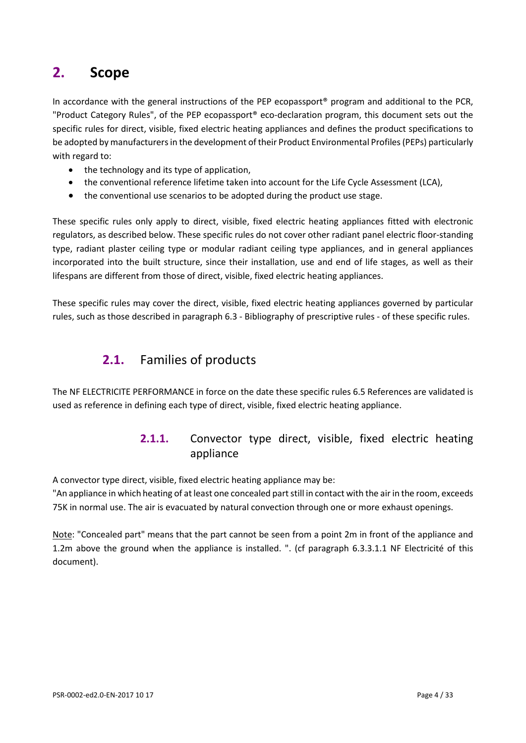# <span id="page-3-0"></span>**2. Scope**

In accordance with the general instructions of the PEP ecopassport® program and additional to the PCR, "Product Category Rules", of the PEP ecopassport® eco-declaration program, this document sets out the specific rules for direct, visible, fixed electric heating appliances and defines the product specifications to be adopted by manufacturers in the development of their Product Environmental Profiles (PEPs) particularly with regard to:

- the technology and its type of application,
- the conventional reference lifetime taken into account for the Life Cycle Assessment (LCA),
- the conventional use scenarios to be adopted during the product use stage.

These specific rules only apply to direct, visible, fixed electric heating appliances fitted with electronic regulators, as described below. These specific rules do not cover other radiant panel electric floor-standing type, radiant plaster ceiling type or modular radiant ceiling type appliances, and in general appliances incorporated into the built structure, since their installation, use and end of life stages, as well as their lifespans are different from those of direct, visible, fixed electric heating appliances.

<span id="page-3-1"></span>These specific rules may cover the direct, visible, fixed electric heating appliances governed by particular rules, such as those described in paragraph 6.3 - Bibliography of prescriptive rules - of these specific rules.

## **2.1.** Families of products

The NF ELECTRICITE PERFORMANCE in force on the date these specific rules [6.5](#page-30-0) [References](#page-30-0) are validated is used as reference in defining each type of direct, visible, fixed electric heating appliance.

## **2.1.1.** Convector type direct, visible, fixed electric heating appliance

A convector type direct, visible, fixed electric heating appliance may be:

"An appliance in which heating of at least one concealed part still in contact with the air in the room, exceeds 75K in normal use. The air is evacuated by natural convection through one or more exhaust openings.

Note: "Concealed part" means that the part cannot be seen from a point 2m in front of the appliance and 1.2m above the ground when the appliance is installed. ". (cf paragraph 6.3.3.1.1 NF Electricité of this document).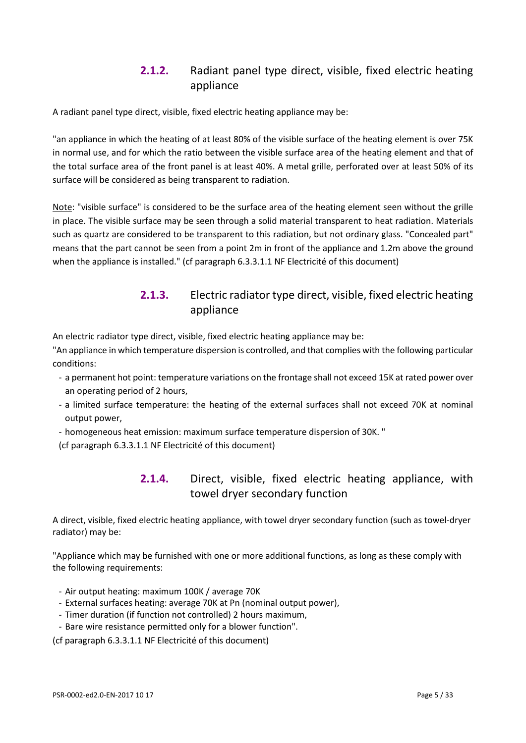## **2.1.2.** Radiant panel type direct, visible, fixed electric heating appliance

A radiant panel type direct, visible, fixed electric heating appliance may be:

"an appliance in which the heating of at least 80% of the visible surface of the heating element is over 75K in normal use, and for which the ratio between the visible surface area of the heating element and that of the total surface area of the front panel is at least 40%. A metal grille, perforated over at least 50% of its surface will be considered as being transparent to radiation.

Note: "visible surface" is considered to be the surface area of the heating element seen without the grille in place. The visible surface may be seen through a solid material transparent to heat radiation. Materials such as quartz are considered to be transparent to this radiation, but not ordinary glass. "Concealed part" means that the part cannot be seen from a point 2m in front of the appliance and 1.2m above the ground when the appliance is installed." (cf paragraph [6.3.3.1.1](#page-28-0) NF Electricité of this document)

## **2.1.3.** Electric radiator type direct, visible, fixed electric heating appliance

An electric radiator type direct, visible, fixed electric heating appliance may be:

"An appliance in which temperature dispersion is controlled, and that complies with the following particular conditions:

- a permanent hot point: temperature variations on the frontage shall not exceed 15K at rated power over an operating period of 2 hours,
- a limited surface temperature: the heating of the external surfaces shall not exceed 70K at nominal output power,
- homogeneous heat emission: maximum surface temperature dispersion of 30K. "

(cf paragraph [6.3.3.1.1](#page-28-0) NF Electricité of this document)

## **2.1.4.** Direct, visible, fixed electric heating appliance, with towel dryer secondary function

A direct, visible, fixed electric heating appliance, with towel dryer secondary function (such as towel-dryer radiator) may be:

"Appliance which may be furnished with one or more additional functions, as long as these comply with the following requirements:

- Air output heating: maximum 100K / average 70K
- External surfaces heating: average 70K at Pn (nominal output power),
- Timer duration (if function not controlled) 2 hours maximum,
- Bare wire resistance permitted only for a blower function".

(cf paragraph [6.3.3.1.1](#page-28-0) NF Electricité of this document)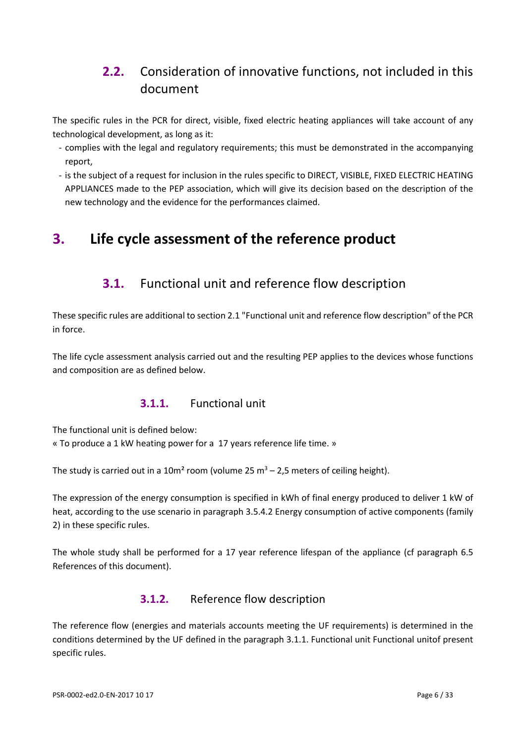# <span id="page-5-0"></span>**2.2.** Consideration of innovative functions, not included in this document

The specific rules in the PCR for direct, visible, fixed electric heating appliances will take account of any technological development, as long as it:

- complies with the legal and regulatory requirements; this must be demonstrated in the accompanying report,
- is the subject of a request for inclusion in the rules specific to DIRECT, VISIBLE, FIXED ELECTRIC HEATING APPLIANCES made to the PEP association, which will give its decision based on the description of the new technology and the evidence for the performances claimed.

# <span id="page-5-2"></span><span id="page-5-1"></span>**3. Life cycle assessment of the reference product**

## **3.1.** Functional unit and reference flow description

These specific rules are additional to section 2.1 "Functional unit and reference flow description" of the PCR in force.

<span id="page-5-3"></span>The life cycle assessment analysis carried out and the resulting PEP applies to the devices whose functions and composition are as defined below.

## **3.1.1.** Functional unit

The functional unit is defined below:

« To produce a 1 kW heating power for a 17 years reference life time. »

The study is carried out in a 10m<sup>2</sup> room (volume 25 m<sup>3</sup> – 2,5 meters of ceiling height).

The expression of the energy consumption is specified in kWh of final energy produced to deliver 1 kW of heat, according to the use scenario in paragraph 3.5.4.2 Energy consumption of active components (family 2) in these specific rules.

The whole study shall be performed for a 17 year reference lifespan of the appliance (cf paragraph [6.5](#page-30-0) [References](#page-30-0) of this document).

## **3.1.2.** Reference flow description

The reference flow (energies and materials accounts meeting the UF requirements) is determined in the conditions determined by the UF defined in the paragraph 3.1.1. Functional unit [Functional unito](#page-5-3)f present specific rules.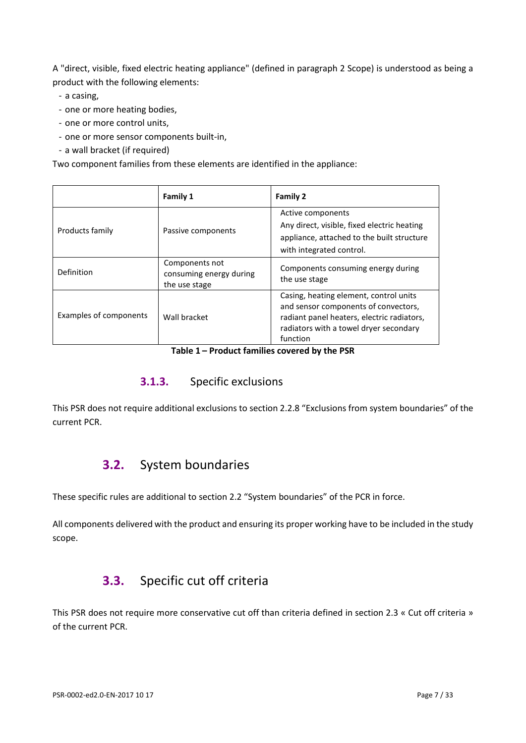A "direct, visible, fixed electric heating appliance" (defined in paragraph [2](#page-3-0) Scope) is understood as being a product with the following elements:

- a casing,
- one or more heating bodies,
- one or more control units,
- one or more sensor components built-in,
- a wall bracket (if required)

Two component families from these elements are identified in the appliance:

|                        | <b>Family 1</b>                                            | <b>Family 2</b>                                                                                                                                                                    |
|------------------------|------------------------------------------------------------|------------------------------------------------------------------------------------------------------------------------------------------------------------------------------------|
| Products family        | Passive components                                         | Active components<br>Any direct, visible, fixed electric heating<br>appliance, attached to the built structure<br>with integrated control.                                         |
| Definition             | Components not<br>consuming energy during<br>the use stage | Components consuming energy during<br>the use stage                                                                                                                                |
| Examples of components | Wall bracket                                               | Casing, heating element, control units<br>and sensor components of convectors,<br>radiant panel heaters, electric radiators,<br>radiators with a towel dryer secondary<br>function |

#### **Table 1 – Product families covered by the PSR**

## **3.1.3.** Specific exclusions

<span id="page-6-0"></span>This PSR does not require additional exclusions to section 2.2.8 "Exclusions from system boundaries" of the current PCR.

## **3.2.** System boundaries

These specific rules are additional to section 2.2 "System boundaries" of the PCR in force.

<span id="page-6-1"></span>All components delivered with the product and ensuring its proper working have to be included in the study scope.

## **3.3.** Specific cut off criteria

This PSR does not require more conservative cut off than criteria defined in section 2.3 « Cut off criteria » of the current PCR.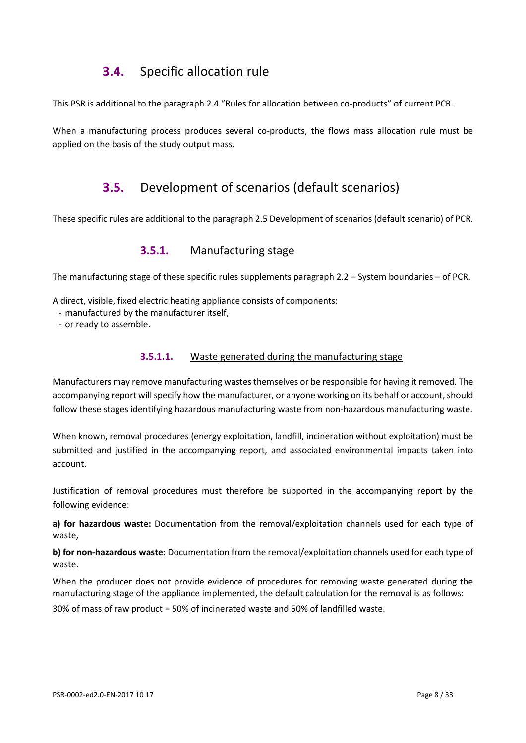## **3.4.** Specific allocation rule

<span id="page-7-0"></span>This PSR is additional to the paragraph 2.4 "Rules for allocation between co-products" of current PCR.

<span id="page-7-1"></span>When a manufacturing process produces several co-products, the flows mass allocation rule must be applied on the basis of the study output mass.

## **3.5.** Development of scenarios (default scenarios)

These specific rules are additional to the paragraph 2.5 Development of scenarios(default scenario) of PCR.

## **3.5.1.** Manufacturing stage

The manufacturing stage of these specific rules supplements paragraph 2.2 – System boundaries – of PCR.

A direct, visible, fixed electric heating appliance consists of components:

- manufactured by the manufacturer itself,
- or ready to assemble.

## **3.5.1.1.** Waste generated during the manufacturing stage

Manufacturers may remove manufacturing wastes themselves or be responsible for having it removed. The accompanying report will specify how the manufacturer, or anyone working on its behalf or account, should follow these stages identifying hazardous manufacturing waste from non-hazardous manufacturing waste.

When known, removal procedures (energy exploitation, landfill, incineration without exploitation) must be submitted and justified in the accompanying report, and associated environmental impacts taken into account.

Justification of removal procedures must therefore be supported in the accompanying report by the following evidence:

**a) for hazardous waste:** Documentation from the removal/exploitation channels used for each type of waste,

**b) for non-hazardous waste**: Documentation from the removal/exploitation channels used for each type of waste.

When the producer does not provide evidence of procedures for removing waste generated during the manufacturing stage of the appliance implemented, the default calculation for the removal is as follows:

30% of mass of raw product = 50% of incinerated waste and 50% of landfilled waste.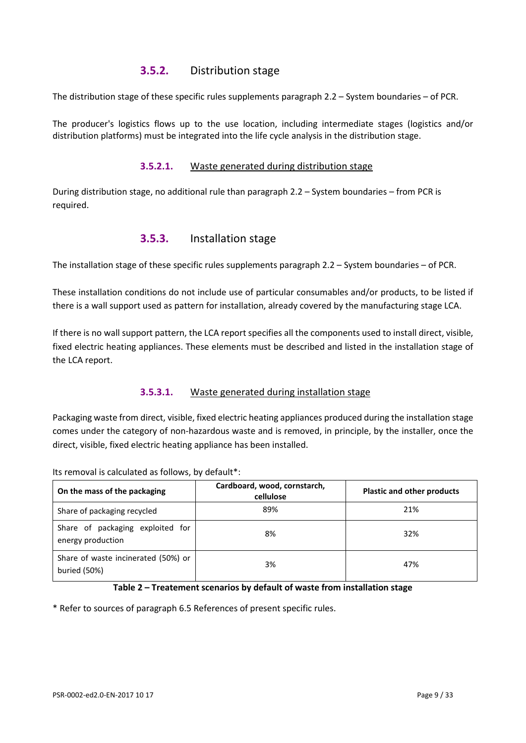## **3.5.2.** Distribution stage

The distribution stage of these specific rules supplements paragraph 2.2 – System boundaries – of PCR.

The producer's logistics flows up to the use location, including intermediate stages (logistics and/or distribution platforms) must be integrated into the life cycle analysis in the distribution stage.

#### **3.5.2.1.** Waste generated during distribution stage

During distribution stage, no additional rule than paragraph 2.2 – System boundaries – from PCR is required.

## **3.5.3.** Installation stage

The installation stage of these specific rules supplements paragraph 2.2 – System boundaries – of PCR.

These installation conditions do not include use of particular consumables and/or products, to be listed if there is a wall support used as pattern for installation, already covered by the manufacturing stage LCA.

If there is no wall support pattern, the LCA report specifies all the components used to install direct, visible, fixed electric heating appliances. These elements must be described and listed in the installation stage of the LCA report.

## **3.5.3.1.** Waste generated during installation stage

Packaging waste from direct, visible, fixed electric heating appliances produced during the installation stage comes under the category of non-hazardous waste and is removed, in principle, by the installer, once the direct, visible, fixed electric heating appliance has been installed.

**On the mass of the packaging Cardboard, wood, cornstarch, cellulose Plastic and other products**  Share of packaging recycled and the control of the state of packaging recycled and the state  $\frac{89\%}{21\%}$ Share of packaging exploited for energy production 8% 32% Share of waste incinerated (50%) or buried (50%) 3% 47%

Its removal is calculated as follows, by default\*:

#### **Table 2 – Treatement scenarios by default of waste from installation stage**

\* Refer to sources of paragraph 6.5 References of present specific rules.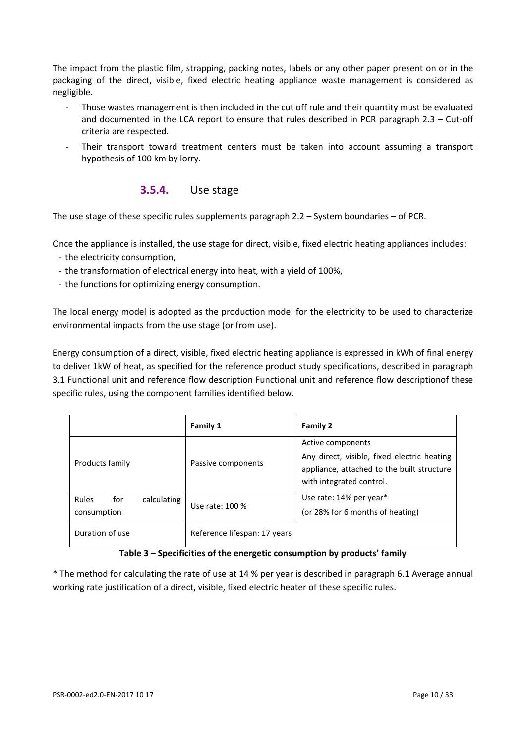The impact from the plastic film, strapping, packing notes, labels or any other paper present on or in the packaging of the direct, visible, fixed electric heating appliance waste management is considered as negligible.

- Those wastes management is then included in the cut off rule and their quantity must be evaluated and documented in the LCA report to ensure that rules described in PCR paragraph 2.3 – Cut-off criteria are respected.
- Their transport toward treatment centers must be taken into account assuming a transport hypothesis of 100 km by lorry.

## **3.5.4.** Use stage

The use stage of these specific rules supplements paragraph 2.2 – System boundaries – of PCR.

Once the appliance is installed, the use stage for direct, visible, fixed electric heating appliances includes:

- the electricity consumption,
- the transformation of electrical energy into heat, with a yield of 100%,
- the functions for optimizing energy consumption.

The local energy model is adopted as the production model for the electricity to be used to characterize environmental impacts from the use stage (or from use).

Energy consumption of a direct, visible, fixed electric heating appliance is expressed in kWh of final energy to deliver 1kW of heat, as specified for the reference product study specifications, described in paragraph 3.1 Functional unit and reference flow description [Functional unit and reference flow descriptiono](#page-5-2)f these specific rules, using the component families identified below.

|                                            | Family 1                     | <b>Family 2</b>                                                                                                                            |
|--------------------------------------------|------------------------------|--------------------------------------------------------------------------------------------------------------------------------------------|
| Products family                            | Passive components           | Active components<br>Any direct, visible, fixed electric heating<br>appliance, attached to the built structure<br>with integrated control. |
| Rules<br>calculating<br>for<br>consumption | Use rate: 100 %              | Use rate: 14% per year*<br>(or 28% for 6 months of heating)                                                                                |
| Duration of use                            | Reference lifespan: 17 years |                                                                                                                                            |

#### **Table 3 – Specificities of the energetic consumption by products' family**

\* The method for calculating the rate of use at 14 % per year is described in paragraph 6.1 Average annual working rate justification of a direct, visible, fixed electric heater of these specific rules.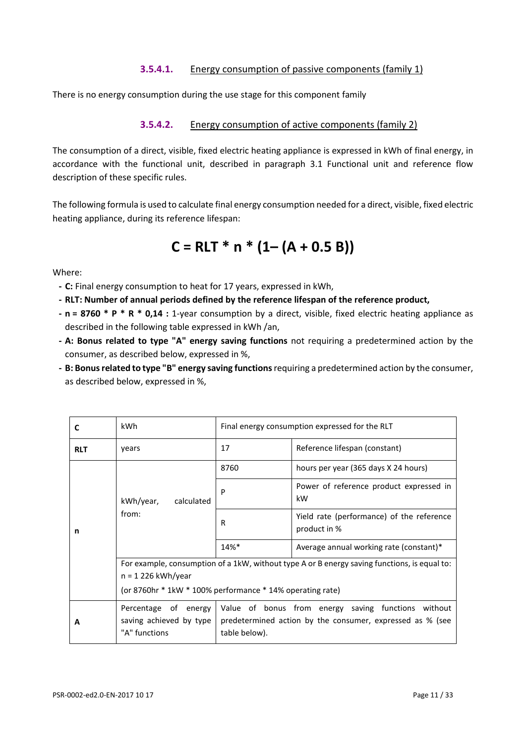## **3.5.4.1.** Energy consumption of passive components (family 1)

There is no energy consumption during the use stage for this component family

#### **3.5.4.2.** Energy consumption of active components (family 2)

The consumption of a direct, visible, fixed electric heating appliance is expressed in kWh of final energy, in accordance with the functional unit, described in paragraph 3.1 Functional unit and reference flow description of these specific rules.

The following formula is used to calculate final energy consumption needed for a direct, visible, fixed electric heating appliance, during its reference lifespan:

$$
C = RLT * n * (1 - (A + 0.5 B))
$$

Where:

- **- C:** Final energy consumption to heat for 17 years, expressed in kWh,
- **- RLT: Number of annual periods defined by the reference lifespan of the reference product,**
- **- n = 8760 \* P \* R \* 0,14 :** 1-year consumption by a direct, visible, fixed electric heating appliance as described in the following table expressed in kWh /an,
- **- A: Bonus related to type "A" energy saving functions** not requiring a predetermined action by the consumer, as described below, expressed in %,
- **- B: Bonus related to type "B" energy saving functions**requiring a predetermined action by the consumer, as described below, expressed in %,

| C          | kWh                                                                                                                                                                                                   | Final energy consumption expressed for the RLT |                                                           |
|------------|-------------------------------------------------------------------------------------------------------------------------------------------------------------------------------------------------------|------------------------------------------------|-----------------------------------------------------------|
| <b>RLT</b> | years                                                                                                                                                                                                 | 17                                             | Reference lifespan (constant)                             |
|            |                                                                                                                                                                                                       | 8760                                           | hours per year (365 days X 24 hours)                      |
|            | kWh/year,<br>calculated<br>from:                                                                                                                                                                      | P                                              | Power of reference product expressed in<br>kW             |
| n          |                                                                                                                                                                                                       | R                                              | Yield rate (performance) of the reference<br>product in % |
|            |                                                                                                                                                                                                       | $14%$ *                                        | Average annual working rate (constant)*                   |
|            | For example, consumption of a 1kW, without type A or B energy saving functions, is equal to:<br>$n = 1226$ kWh/year<br>(or 8760hr * 1kW * 100% performance * 14% operating rate)                      |                                                |                                                           |
| A          | Value of bonus from energy saving functions without<br>Percentage of energy<br>saving achieved by type<br>predetermined action by the consumer, expressed as % (see<br>"A" functions<br>table below). |                                                |                                                           |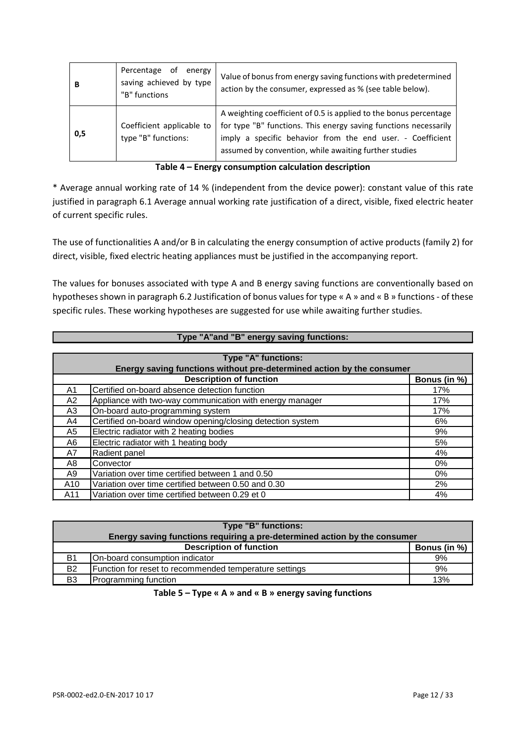| в   | Percentage of<br>energy<br>saving achieved by type<br>"B" functions | Value of bonus from energy saving functions with predetermined<br>action by the consumer, expressed as % (see table below).                                                                                                                                  |
|-----|---------------------------------------------------------------------|--------------------------------------------------------------------------------------------------------------------------------------------------------------------------------------------------------------------------------------------------------------|
| 0,5 | Coefficient applicable to<br>type "B" functions:                    | A weighting coefficient of 0.5 is applied to the bonus percentage<br>for type "B" functions. This energy saving functions necessarily<br>imply a specific behavior from the end user. - Coefficient<br>assumed by convention, while awaiting further studies |

| Table 4 - Energy consumption calculation description |  |
|------------------------------------------------------|--|
|------------------------------------------------------|--|

\* Average annual working rate of 14 % (independent from the device power): constant value of this rate justified in paragraph 6.1 Average annual working rate justification of a direct, visible, fixed electric heater of current specific rules.

The use of functionalities A and/or B in calculating the energy consumption of active products (family 2) for direct, visible, fixed electric heating appliances must be justified in the accompanying report.

The values for bonuses associated with type A and B energy saving functions are conventionally based on hypotheses shown in paragraph 6.2 Justification of bonus values for type « A » and « B » functions- of these specific rules. These working hypotheses are suggested for use while awaiting further studies.

|     | Type "A"and "B" energy saving functions:                              |     |  |
|-----|-----------------------------------------------------------------------|-----|--|
|     |                                                                       |     |  |
|     | Type "A" functions:                                                   |     |  |
|     | Energy saving functions without pre-determined action by the consumer |     |  |
|     | <b>Description of function</b><br>Bonus (in %)                        |     |  |
| A1  | Certified on-board absence detection function                         | 17% |  |
| A2  | Appliance with two-way communication with energy manager              | 17% |  |
| A3  | On-board auto-programming system                                      | 17% |  |
| A4  | Certified on-board window opening/closing detection system            | 6%  |  |
| A5  | Electric radiator with 2 heating bodies                               | 9%  |  |
| A6  | Electric radiator with 1 heating body                                 | 5%  |  |
| A7  | Radient panel                                                         | 4%  |  |
| A8  | Convector                                                             | 0%  |  |
| A9  | Variation over time certified between 1 and 0.50                      | 0%  |  |
| A10 | Variation over time certified between 0.50 and 0.30                   | 2%  |  |
| A11 | Variation over time certified between 0.29 et 0                       | 4%  |  |

| Type "B" functions: |                                                                           |              |  |
|---------------------|---------------------------------------------------------------------------|--------------|--|
|                     | Energy saving functions requiring a pre-determined action by the consumer |              |  |
|                     | <b>Description of function</b>                                            | Bonus (in %) |  |
| <b>B1</b>           | On-board consumption indicator                                            | 9%           |  |
| <b>B2</b>           | Function for reset to recommended temperature settings                    | 9%           |  |
| B <sub>3</sub>      | Programming function                                                      | 13%          |  |

**Table 5 – Type « A » and « B » energy saving functions**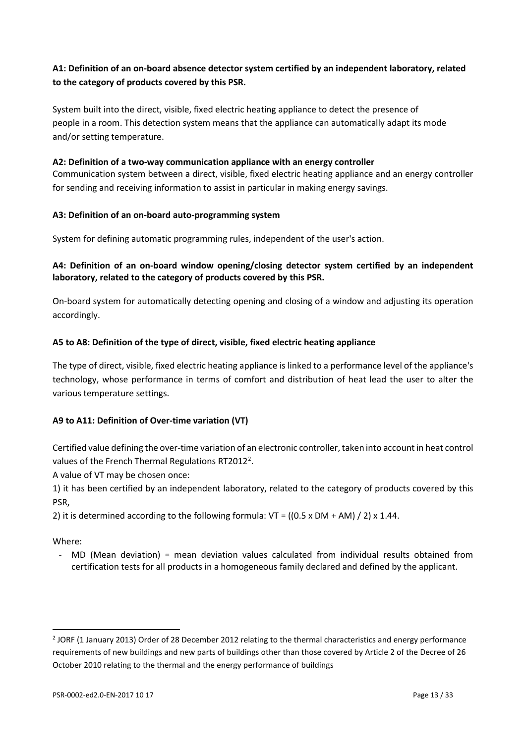## **A1: Definition of an on-board absence detector system certified by an independent laboratory, related to the category of products covered by this PSR.**

System built into the direct, visible, fixed electric heating appliance to detect the presence of people in a room. This detection system means that the appliance can automatically adapt its mode and/or setting temperature.

#### **A2: Definition of a two-way communication appliance with an energy controller**

Communication system between a direct, visible, fixed electric heating appliance and an energy controller for sending and receiving information to assist in particular in making energy savings.

#### **A3: Definition of an on-board auto-programming system**

System for defining automatic programming rules, independent of the user's action.

## **A4: Definition of an on-board window opening/closing detector system certified by an independent laboratory, related to the category of products covered by this PSR.**

On-board system for automatically detecting opening and closing of a window and adjusting its operation accordingly.

#### **A5 to A8: Definition of the type of direct, visible, fixed electric heating appliance**

The type of direct, visible, fixed electric heating appliance is linked to a performance level of the appliance's technology, whose performance in terms of comfort and distribution of heat lead the user to alter the various temperature settings.

## **A9 to A11: Definition of Over-time variation (VT)**

Certified value defining the over-time variation of an electronic controller, taken into account in heat control values of the French Thermal Regulations RT[2](#page-12-0)012<sup>2</sup>.

A value of VT may be chosen once:

1) it has been certified by an independent laboratory, related to the category of products covered by this PSR,

2) it is determined according to the following formula:  $VT = ((0.5 \times DM + AM) / 2) \times 1.44$ .

Where:

 $\overline{a}$ 

- MD (Mean deviation) = mean deviation values calculated from individual results obtained from certification tests for all products in a homogeneous family declared and defined by the applicant.

<span id="page-12-0"></span><sup>&</sup>lt;sup>2</sup> JORF (1 January 2013) Order of 28 December 2012 relating to the thermal characteristics and energy performance requirements of new buildings and new parts of buildings other than those covered by Article 2 of the Decree of 26 October 2010 relating to the thermal and the energy performance of buildings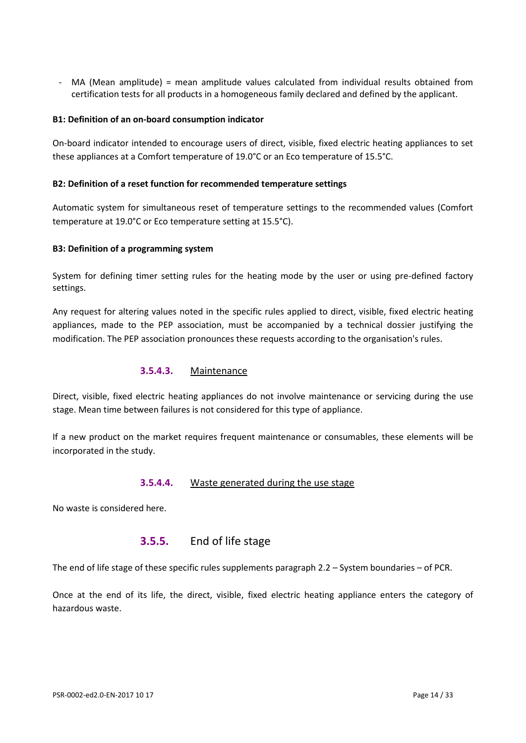- MA (Mean amplitude) = mean amplitude values calculated from individual results obtained from certification tests for all products in a homogeneous family declared and defined by the applicant.

#### **B1: Definition of an on-board consumption indicator**

On-board indicator intended to encourage users of direct, visible, fixed electric heating appliances to set these appliances at a Comfort temperature of 19.0°C or an Eco temperature of 15.5°C.

#### **B2: Definition of a reset function for recommended temperature settings**

Automatic system for simultaneous reset of temperature settings to the recommended values (Comfort temperature at 19.0°C or Eco temperature setting at 15.5°C).

#### **B3: Definition of a programming system**

System for defining timer setting rules for the heating mode by the user or using pre-defined factory settings.

Any request for altering values noted in the specific rules applied to direct, visible, fixed electric heating appliances, made to the PEP association, must be accompanied by a technical dossier justifying the modification. The PEP association pronounces these requests according to the organisation's rules.

#### **3.5.4.3.** Maintenance

Direct, visible, fixed electric heating appliances do not involve maintenance or servicing during the use stage. Mean time between failures is not considered for this type of appliance.

If a new product on the market requires frequent maintenance or consumables, these elements will be incorporated in the study.

#### **3.5.4.4.** Waste generated during the use stage

No waste is considered here.

## **3.5.5.** End of life stage

The end of life stage of these specific rules supplements paragraph 2.2 – System boundaries – of PCR.

Once at the end of its life, the direct, visible, fixed electric heating appliance enters the category of hazardous waste.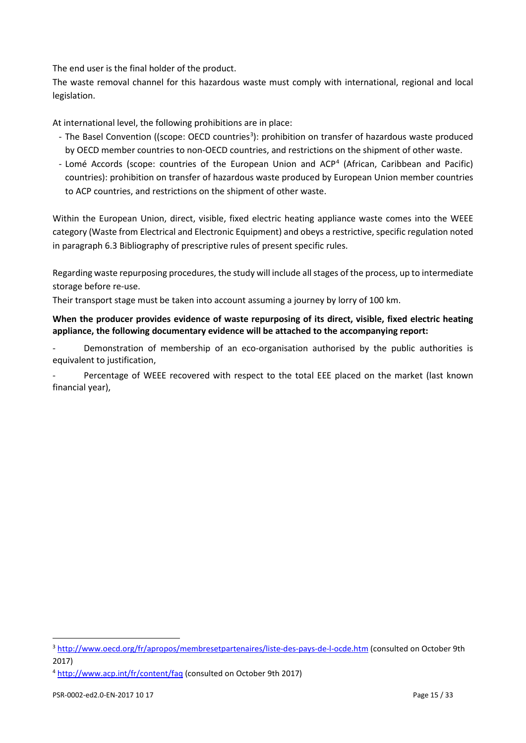The end user is the final holder of the product.

The waste removal channel for this hazardous waste must comply with international, regional and local legislation.

At international level, the following prohibitions are in place:

- The Basel Convention ((scope: OECD countries<sup>[3](#page-14-0)</sup>): prohibition on transfer of hazardous waste produced by OECD member countries to non-OECD countries, and restrictions on the shipment of other waste.
- Lomé Accords (scope: countries of the European Union and ACP[4](#page-14-1) (African, Caribbean and Pacific) countries): prohibition on transfer of hazardous waste produced by European Union member countries to ACP countries, and restrictions on the shipment of other waste.

Within the European Union, direct, visible, fixed electric heating appliance waste comes into the WEEE category (Waste from Electrical and Electronic Equipment) and obeys a restrictive, specific regulation noted in paragraph [6.3](#page-27-0) [Bibliography of prescriptive rules](#page-27-0) of present specific rules.

Regarding waste repurposing procedures, the study will include all stages of the process, up to intermediate storage before re-use.

Their transport stage must be taken into account assuming a journey by lorry of 100 km.

#### **When the producer provides evidence of waste repurposing of its direct, visible, fixed electric heating appliance, the following documentary evidence will be attached to the accompanying report:**

Demonstration of membership of an eco-organisation authorised by the public authorities is equivalent to justification,

Percentage of WEEE recovered with respect to the total EEE placed on the market (last known financial year),

 $\overline{a}$ 

<span id="page-14-0"></span><sup>&</sup>lt;sup>3</sup> <http://www.oecd.org/fr/apropos/membresetpartenaires/liste-des-pays-de-l-ocde.htm> (consulted on October 9th 2017)

<span id="page-14-1"></span><sup>4</sup> <http://www.acp.int/fr/content/faq> (consulted on October 9th 2017)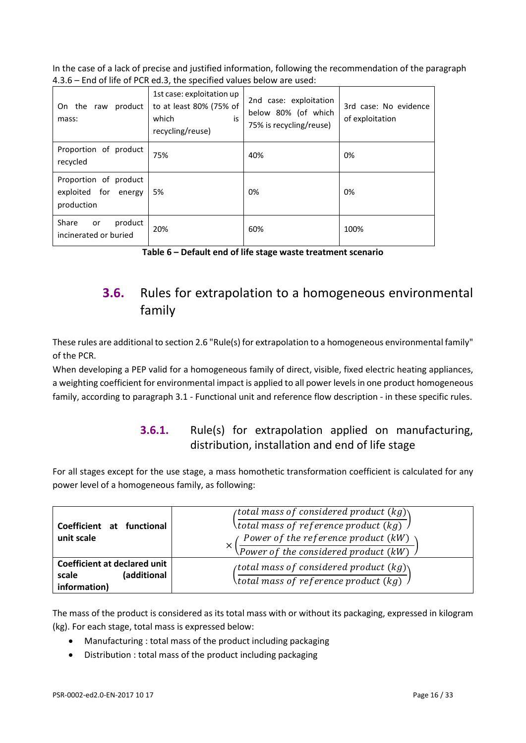In the case of a lack of precise and justified information, following the recommendation of the paragraph 4.3.6 – End of life of PCR ed.3, the specified values below are used:

| On the raw<br>product<br>mass:                              | 1st case: exploitation up<br>to at least 80% (75% of<br>which<br>is<br>recycling/reuse) | 2nd case: exploitation<br>below 80% (of which<br>75% is recycling/reuse) | 3rd case: No evidence<br>of exploitation |
|-------------------------------------------------------------|-----------------------------------------------------------------------------------------|--------------------------------------------------------------------------|------------------------------------------|
| Proportion of product<br>recycled                           | 75%                                                                                     | 40%                                                                      | 0%                                       |
| Proportion of product<br>exploited for energy<br>production | 5%                                                                                      | 0%                                                                       | 0%                                       |
| Share<br>product<br>or<br>incinerated or buried             | 20%                                                                                     | 60%                                                                      | 100%                                     |

# <span id="page-15-0"></span>**3.6.** Rules for extrapolation to a homogeneous environmental family

These rules are additional to section 2.6 "Rule(s) for extrapolation to a homogeneous environmental family" of the PCR.

When developing a PEP valid for a homogeneous family of direct, visible, fixed electric heating appliances, a weighting coefficient for environmental impact is applied to all power levels in one product homogeneous family, according to paragraph 3.1 - Functional unit and reference flow description - in these specific rules.

## **3.6.1.** Rule(s) for extrapolation applied on manufacturing, distribution, installation and end of life stage

For all stages except for the use stage, a mass homothetic transformation coefficient is calculated for any power level of a homogeneous family, as following:

| Coefficient at functional<br>unit scale                                     | (total mass of considered product (kg) $\setminus$<br>(total mass of reference product (kg) $\lambda$<br>Power of the reference product (kW)<br>$\sqrt{Power\ of\ the\ considered\ product\ (kW)}$ |
|-----------------------------------------------------------------------------|----------------------------------------------------------------------------------------------------------------------------------------------------------------------------------------------------|
| <b>Coefficient at declared unit</b><br>(additional<br>scale<br>information) | (total mass of considered product $(kg)$ )<br>( <i>total mass of reference product</i> $(kg)$                                                                                                      |

The mass of the product is considered as its total mass with or without its packaging, expressed in kilogram (kg). For each stage, total mass is expressed below:

- Manufacturing : total mass of the product including packaging
- Distribution : total mass of the product including packaging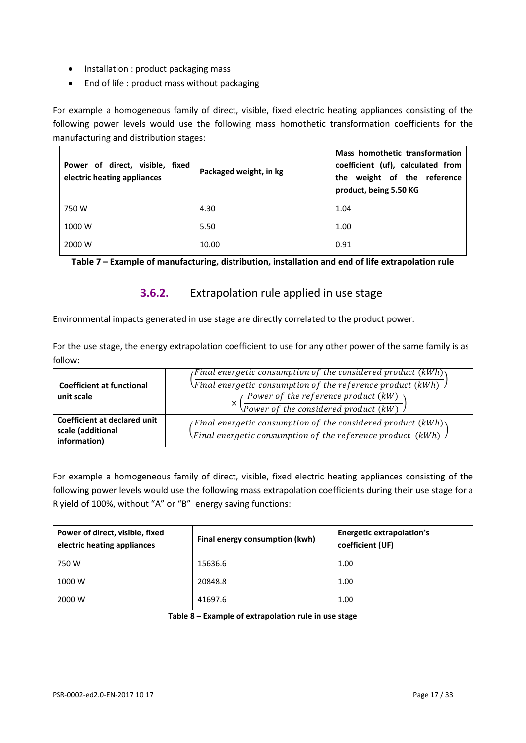- Installation : product packaging mass
- End of life : product mass without packaging

For example a homogeneous family of direct, visible, fixed electric heating appliances consisting of the following power levels would use the following mass homothetic transformation coefficients for the manufacturing and distribution stages:

| Power of direct, visible, fixed<br>electric heating appliances | Packaged weight, in kg | Mass homothetic transformation<br>coefficient (uf), calculated from<br>the weight of the reference<br>product, being 5.50 KG |
|----------------------------------------------------------------|------------------------|------------------------------------------------------------------------------------------------------------------------------|
| 750 W                                                          | 4.30                   | 1.04                                                                                                                         |
| 1000 W                                                         | 5.50                   | 1.00                                                                                                                         |
| 2000 W                                                         | 10.00                  | 0.91                                                                                                                         |

**Table 7 – Example of manufacturing, distribution, installation and end of life extrapolation rule**

**3.6.2.** Extrapolation rule applied in use stage

Environmental impacts generated in use stage are directly correlated to the product power.

For the use stage, the energy extrapolation coefficient to use for any other power of the same family is as follow:

| <b>Coefficient at functional</b><br>unit scale | <i>(Final energetic consumption of the considered product (kWh)</i><br>\Final energetic consumption of the reference product (kWh) $\sqrt{ }$<br>$\mathcal{L}$ Power of the reference product $(kW)$ |
|------------------------------------------------|------------------------------------------------------------------------------------------------------------------------------------------------------------------------------------------------------|
| Coefficient at declared unit                   | $\sqrt{Pover of the considered product (kW)}$                                                                                                                                                        |
| scale (additional<br>information)              | <i>(Final energetic consumption of the considered product (kWh)</i><br>\Final energetic consumption of the reference product (kWh) $\it{J}$                                                          |

For example a homogeneous family of direct, visible, fixed electric heating appliances consisting of the following power levels would use the following mass extrapolation coefficients during their use stage for a R yield of 100%, without "A" or "B" energy saving functions:

| Power of direct, visible, fixed<br>electric heating appliances | Final energy consumption (kwh) | <b>Energetic extrapolation's</b><br>coefficient (UF) |  |  |  |  |
|----------------------------------------------------------------|--------------------------------|------------------------------------------------------|--|--|--|--|
| 750 W                                                          | 15636.6                        | 1.00                                                 |  |  |  |  |
| 1000 W                                                         | 20848.8                        | 1.00                                                 |  |  |  |  |
| 2000 W                                                         | 41697.6                        | 1.00                                                 |  |  |  |  |

**Table 8 – Example of extrapolation rule in use stage**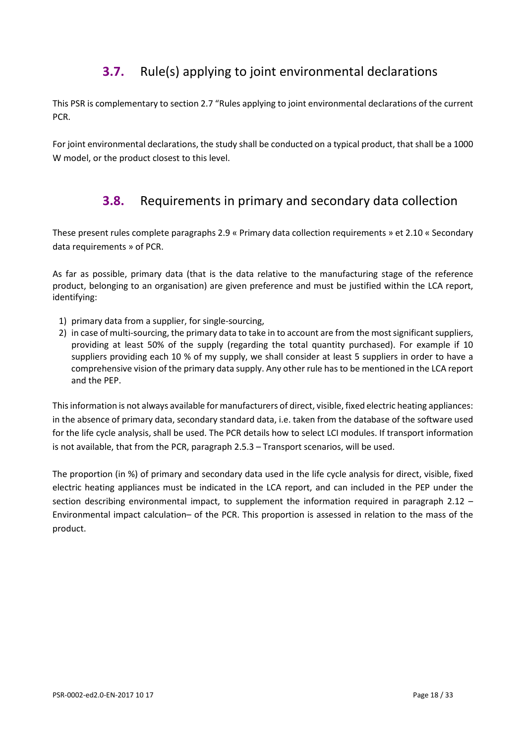# **3.7.** Rule(s) applying to joint environmental declarations

<span id="page-17-0"></span>This PSR is complementary to section 2.7 "Rules applying to joint environmental declarations of the current PCR.

<span id="page-17-1"></span>For joint environmental declarations, the study shall be conducted on a typical product, that shall be a 1000 W model, or the product closest to this level.

## **3.8.** Requirements in primary and secondary data collection

These present rules complete paragraphs 2.9 « Primary data collection requirements » et 2.10 « Secondary data requirements » of PCR.

As far as possible, primary data (that is the data relative to the manufacturing stage of the reference product, belonging to an organisation) are given preference and must be justified within the LCA report, identifying:

- 1) primary data from a supplier, for single-sourcing,
- 2) in case of multi-sourcing, the primary data to take in to account are from the most significant suppliers, providing at least 50% of the supply (regarding the total quantity purchased). For example if 10 suppliers providing each 10 % of my supply, we shall consider at least 5 suppliers in order to have a comprehensive vision of the primary data supply. Any other rule has to be mentioned in the LCA report and the PEP.

This information is not always available for manufacturers of direct, visible, fixed electric heating appliances: in the absence of primary data, secondary standard data, i.e. taken from the database of the software used for the life cycle analysis, shall be used. The PCR details how to select LCI modules. If transport information is not available, that from the PCR, paragraph 2.5.3 – Transport scenarios, will be used.

The proportion (in %) of primary and secondary data used in the life cycle analysis for direct, visible, fixed electric heating appliances must be indicated in the LCA report, and can included in the PEP under the section describing environmental impact, to supplement the information required in paragraph 2.12 – Environmental impact calculation– of the PCR. This proportion is assessed in relation to the mass of the product.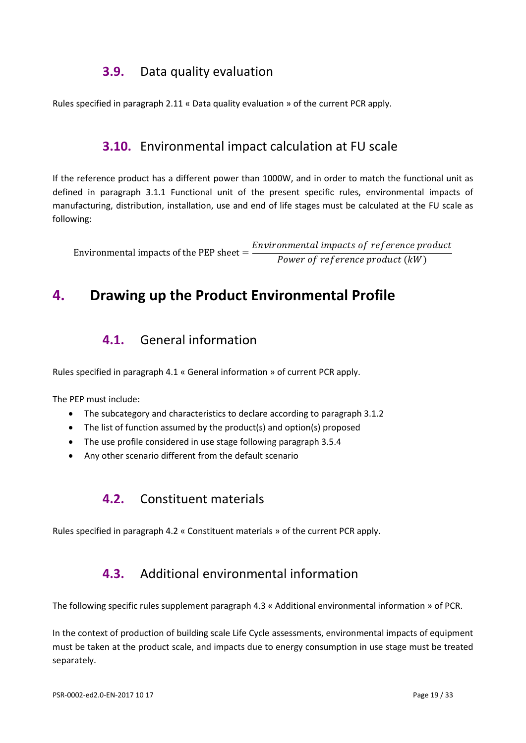## **3.9.** Data quality evaluation

<span id="page-18-1"></span><span id="page-18-0"></span>Rules specified in paragraph 2.11 « Data quality evaluation » of the current PCR apply.

## **3.10.** Environmental impact calculation at FU scale

If the reference product has a different power than 1000W, and in order to match the functional unit as defined in paragraph 3.1.1 Functional unit of the present specific rules, environmental impacts of manufacturing, distribution, installation, use and end of life stages must be calculated at the FU scale as following:

Environmental impacts of the PEP sheet  $=$   $\frac{Environmental \; impacts \; of \; reference \; product \; (kW)}{Power \; of \; reference \; product \; (kW)}$ 

# <span id="page-18-3"></span><span id="page-18-2"></span>**4. Drawing up the Product Environmental Profile**

## **4.1.** General information

Rules specified in paragraph 4.1 « General information » of current PCR apply.

The PEP must include:

- The subcategory and characteristics to declare according to paragraph 3.1.2
- The list of function assumed by the product(s) and option(s) proposed
- The use profile considered in use stage following paragraph 3.5.4
- <span id="page-18-4"></span>• Any other scenario different from the default scenario

## **4.2.** Constituent materials

<span id="page-18-5"></span>Rules specified in paragraph 4.2 « Constituent materials » of the current PCR apply.

## **4.3.** Additional environmental information

The following specific rules supplement paragraph 4.3 « Additional environmental information » of PCR.

In the context of production of building scale Life Cycle assessments, environmental impacts of equipment must be taken at the product scale, and impacts due to energy consumption in use stage must be treated separately.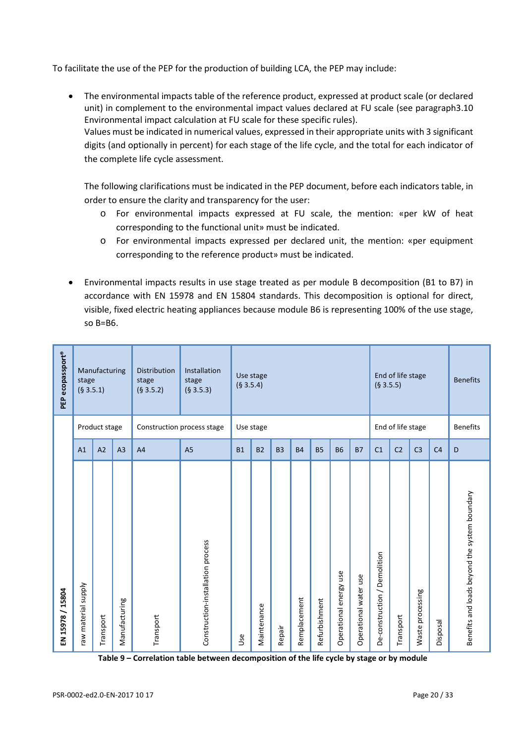To facilitate the use of the PEP for the production of building LCA, the PEP may include:

• The environmental impacts table of the reference product, expressed at product scale (or declared unit) in complement to the environmental impact values declared at FU scale (see paragraph3.10 Environmental impact calculation at FU scale for these specific rules). Values must be indicated in numerical values, expressed in their appropriate units with 3 significant digits (and optionally in percent) for each stage of the life cycle, and the total for each indicator of the complete life cycle assessment.

The following clarifications must be indicated in the PEP document, before each indicators table, in order to ensure the clarity and transparency for the user:

- o For environmental impacts expressed at FU scale, the mention: «per kW of heat corresponding to the functional unit» must be indicated.
- o For environmental impacts expressed per declared unit, the mention: «per equipment corresponding to the reference product» must be indicated.
- Environmental impacts results in use stage treated as per module B decomposition (B1 to B7) in accordance with EN 15978 and EN 15804 standards. This decomposition is optional for direct, visible, fixed electric heating appliances because module B6 is representing 100% of the use stage, so B=B6.

| PEP ecopassport®         | stage<br>(§ 3.5.1)     | Manufacturing  |                | <b>Distribution</b><br>stage<br>(§ 3.5.2) | Installation<br>stage<br>(§ 3.5.3) | (§ 3.5.4)  | Use stage   |                |              |               |                           |                       | (§ 3.5.5)                    | End of life stage |                  |                | <b>Benefits</b>                               |
|--------------------------|------------------------|----------------|----------------|-------------------------------------------|------------------------------------|------------|-------------|----------------|--------------|---------------|---------------------------|-----------------------|------------------------------|-------------------|------------------|----------------|-----------------------------------------------|
|                          |                        | Product stage  |                |                                           | Construction process stage         |            | Use stage   |                |              |               |                           |                       |                              | End of life stage |                  |                | <b>Benefits</b>                               |
|                          | A1                     | A <sub>2</sub> | A <sub>3</sub> | A <sub>4</sub>                            | A <sub>5</sub>                     | <b>B1</b>  | <b>B2</b>   | B <sub>3</sub> | <b>B4</b>    | <b>B5</b>     | <b>B6</b>                 | <b>B7</b>             | C <sub>1</sub>               | C <sub>2</sub>    | C <sub>3</sub>   | C <sub>4</sub> | D                                             |
| 15804<br>╮<br>15978<br>로 | material supply<br>meJ | Transport      | Manufacturing  | Transport                                 | Construction-installation process  | <b>Use</b> | Maintenance | Repair         | Remplacement | Refurbishment | energy use<br>Operational | Operational water use | De-construction / Demolition | Transport         | Waste processing | Disposal       | Benefits and loads beyond the system boundary |

**Table 9 – Correlation table between decomposition of the life cycle by stage or by module**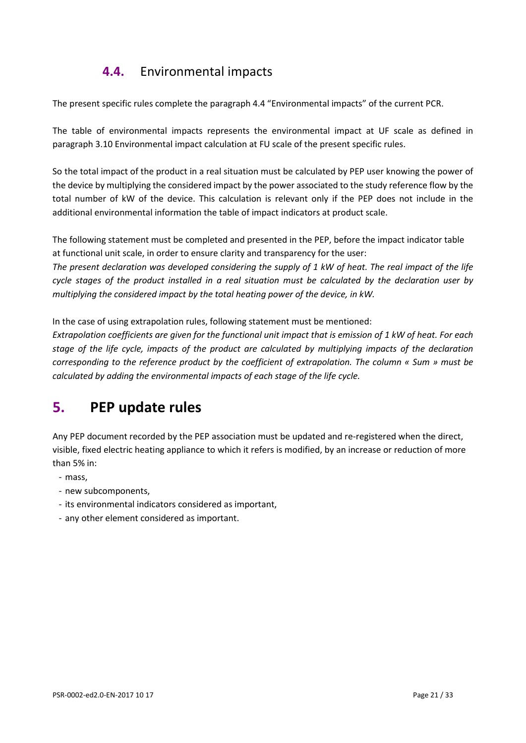# **4.4.** Environmental impacts

<span id="page-20-0"></span>The present specific rules complete the paragraph 4.4 "Environmental impacts" of the current PCR.

The table of environmental impacts represents the environmental impact at UF scale as defined in paragraph 3.10 Environmental impact calculation at FU scale of the present specific rules.

So the total impact of the product in a real situation must be calculated by PEP user knowing the power of the device by multiplying the considered impact by the power associated to the study reference flow by the total number of kW of the device. This calculation is relevant only if the PEP does not include in the additional environmental information the table of impact indicators at product scale.

The following statement must be completed and presented in the PEP, before the impact indicator table at functional unit scale, in order to ensure clarity and transparency for the user:

*The present declaration was developed considering the supply of 1 kW of heat. The real impact of the life cycle stages of the product installed in a real situation must be calculated by the declaration user by multiplying the considered impact by the total heating power of the device, in kW.*

In the case of using extrapolation rules, following statement must be mentioned:

*Extrapolation coefficients are given for the functional unit impact that is emission of 1 kW of heat. For each stage of the life cycle, impacts of the product are calculated by multiplying impacts of the declaration corresponding to the reference product by the coefficient of extrapolation. The column « Sum » must be calculated by adding the environmental impacts of each stage of the life cycle.*

# <span id="page-20-1"></span>**5. PEP update rules**

Any PEP document recorded by the PEP association must be updated and re-registered when the direct, visible, fixed electric heating appliance to which it refers is modified, by an increase or reduction of more than 5% in:

- mass,
- new subcomponents,
- its environmental indicators considered as important,
- any other element considered as important.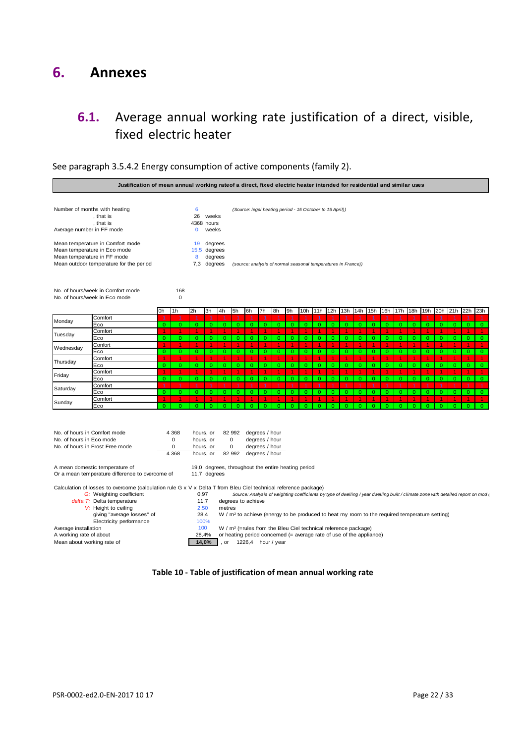## <span id="page-21-1"></span><span id="page-21-0"></span>**6. Annexes**

## **6.1.** Average annual working rate justification of a direct, visible, fixed electric heater



See paragraph 3.5.4.2 Energy consumption of active components (family 2).

**Table 10 - Table of justification of mean annual working rate**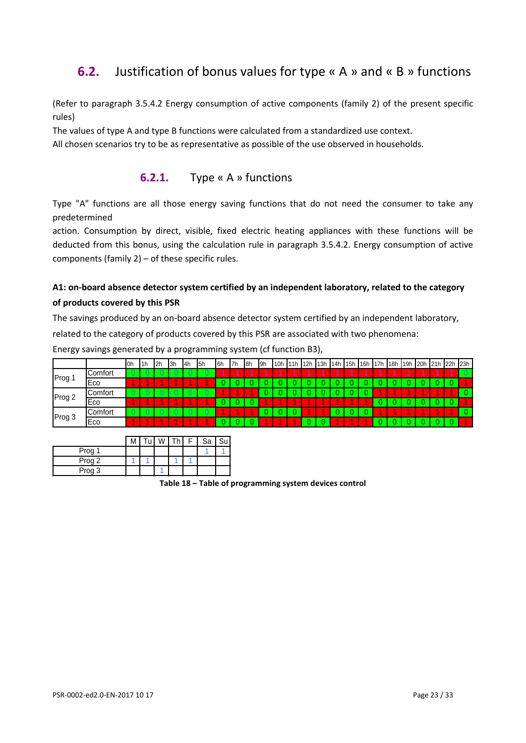## <span id="page-22-0"></span>**6.2.** Justification of bonus values for type « A » and « B » functions

(Refer to paragraph 3.5.4.2 Energy consumption of active components (family 2) of the present specific rules)

The values of type A and type B functions were calculated from a standardized use context.

All chosen scenarios try to be as representative as possible of the use observed in households.

## **6.2.1.** Type « A » functions

Type "A" functions are all those energy saving functions that do not need the consumer to take any predetermined

action. Consumption by direct, visible, fixed electric heating appliances with these functions will be deducted from this bonus, using the calculation rule in paragraph 3.5.4.2. Energy consumption of active components (family 2) – of these specific rules.

## **A1: on-board absence detector system certified by an independent laboratory, related to the category of products covered by this PSR**

The savings produced by an on-board absence detector system certified by an independent laboratory,

related to the category of products covered by this PSR are associated with two phenomena:

Energy savings generated by a programming system (cf function B3),

|        |            | l0h            | l1h | 12h            | 3h             | 4h | 5h | <b>I</b> 6h | 7h | 18h | I <sub>9h</sub> | 10h | 11h | 112h | 13h | 14h | 15h 16h 17h |  |  | 18h 19h 20h 21h 22h | 23h |
|--------|------------|----------------|-----|----------------|----------------|----|----|-------------|----|-----|-----------------|-----|-----|------|-----|-----|-------------|--|--|---------------------|-----|
| Prog 1 | Comfort    | $\overline{0}$ | -0  | $\overline{0}$ | $\overline{0}$ | 0  | 0  |             |    |     |                 |     |     |      |     |     |             |  |  |                     |     |
|        | <b>Eco</b> |                |     |                |                |    |    |             |    |     |                 |     |     |      |     |     |             |  |  |                     |     |
| Prog 2 | Comfort    | 0              |     | 0              | U              |    | u  |             |    |     |                 |     |     |      |     |     |             |  |  |                     |     |
|        | Eco        |                |     |                |                |    |    |             |    |     |                 |     |     |      |     |     |             |  |  |                     |     |
| Prog 3 | Comfort    | $\overline{0}$ | -0  | 0              | 0              | 0  | 0  |             |    |     |                 |     |     |      |     |     |             |  |  |                     |     |
|        | Eco        |                |     |                |                |    |    |             |    |     |                 |     |     |      |     |     |             |  |  |                     |     |

|        |  |  | Sa | c., |
|--------|--|--|----|-----|
| Prog 1 |  |  |    |     |
| Prog 2 |  |  |    |     |
| Prog 3 |  |  |    |     |

**Table 18 – Table of programming system devices control**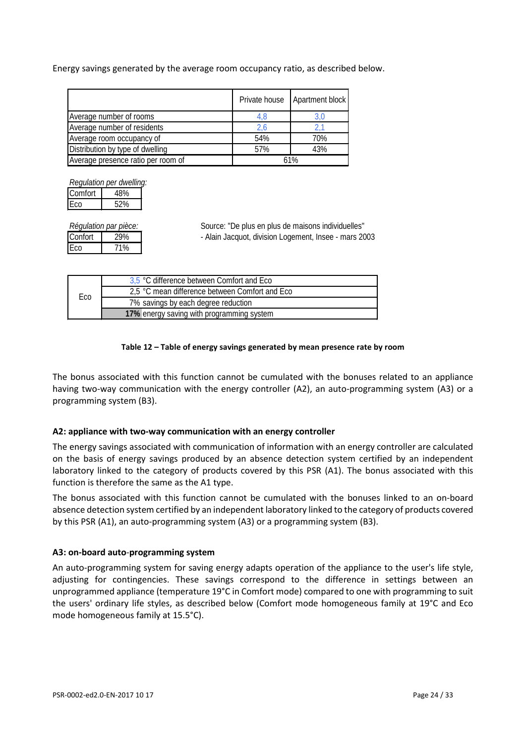Energy savings generated by the average room occupancy ratio, as described below.

|                                    | Private house | Apartment block |
|------------------------------------|---------------|-----------------|
| Average number of rooms            | 4,8           | 3,0             |
| Average number of residents        | 2.6           |                 |
| Average room occupancy of          | 54%           | 70%             |
| Distribution by type of dwelling   | 57%           | 43%             |
| Average presence ratio per room of |               | 61%             |

| Regulation per dwelling: |     |  |  |  |  |  |
|--------------------------|-----|--|--|--|--|--|
| Comfort                  | 48% |  |  |  |  |  |
| Eco                      | 52% |  |  |  |  |  |

| Régulation par pièce: |     |  |  |  |  |
|-----------------------|-----|--|--|--|--|
| Confort               | 29% |  |  |  |  |
| IEco                  | 71% |  |  |  |  |

Source: "De plus en plus de maisons individuelles" - Alain Jacquot, division Logement, Insee - mars 2003

|     | 3,5 °C difference between Comfort and Eco      |
|-----|------------------------------------------------|
| Eco | 2,5 °C mean difference between Comfort and Eco |
|     | 7% savings by each degree reduction            |
|     | 17% energy saving with programming system      |

#### **Table 12 – Table of energy savings generated by mean presence rate by room**

The bonus associated with this function cannot be cumulated with the bonuses related to an appliance having two-way communication with the energy controller (A2), an auto-programming system (A3) or a programming system (B3).

#### **A2: appliance with two-way communication with an energy controller**

The energy savings associated with communication of information with an energy controller are calculated on the basis of energy savings produced by an absence detection system certified by an independent laboratory linked to the category of products covered by this PSR (A1). The bonus associated with this function is therefore the same as the A1 type.

The bonus associated with this function cannot be cumulated with the bonuses linked to an on-board absence detection system certified by an independent laboratory linked to the category of products covered by this PSR (A1), an auto-programming system (A3) or a programming system (B3).

#### **A3: on-board auto**-**programming system**

An auto-programming system for saving energy adapts operation of the appliance to the user's life style, adjusting for contingencies. These savings correspond to the difference in settings between an unprogrammed appliance (temperature 19°C in Comfort mode) compared to one with programming to suit the users' ordinary life styles, as described below (Comfort mode homogeneous family at 19°C and Eco mode homogeneous family at 15.5°C).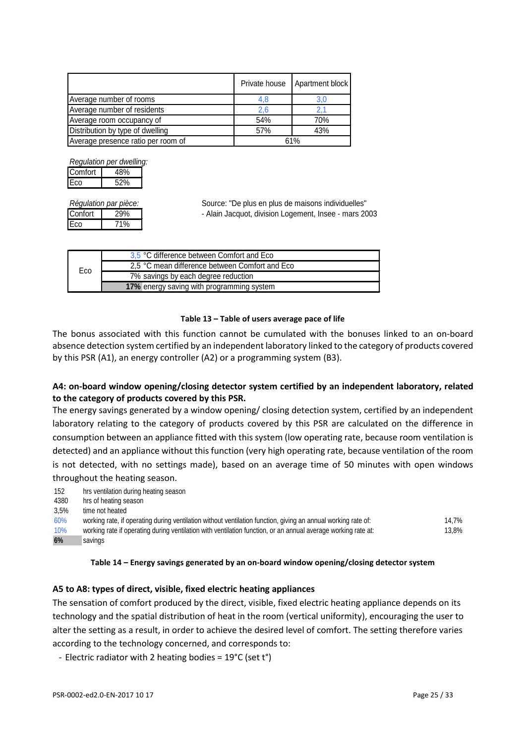|                                    | Private house | Apartment block |
|------------------------------------|---------------|-----------------|
| Average number of rooms            | 4,8           |                 |
| Average number of residents        | 2.6           |                 |
| Average room occupancy of          | 54%           | 70%             |
| Distribution by type of dwelling   | 57%           | 43%             |
| Average presence ratio per room of |               | 61%             |

*Regulation per dwelling:* Comfort | 48%

Eco 52%

Eco 71%

*Régulation par pièce:* Source: "De plus en plus de maisons individuelles" Confort | 29% | - Alain Jacquot, division Logement, Insee - mars 2003

|     | 3,5 °C difference between Comfort and Eco      |
|-----|------------------------------------------------|
| Eco | 2.5 °C mean difference between Comfort and Eco |
|     | 7% savings by each degree reduction            |
|     | 17% energy saving with programming system      |

#### **Table 13 – Table of users average pace of life**

The bonus associated with this function cannot be cumulated with the bonuses linked to an on-board absence detection system certified by an independent laboratory linked to the category of products covered by this PSR (A1), an energy controller (A2) or a programming system (B3).

## **A4: on-board window opening/closing detector system certified by an independent laboratory, related to the category of products covered by this PSR.**

The energy savings generated by a window opening/ closing detection system, certified by an independent laboratory relating to the category of products covered by this PSR are calculated on the difference in consumption between an appliance fitted with this system (low operating rate, because room ventilation is detected) and an appliance without this function (very high operating rate, because ventilation of the room is not detected, with no settings made), based on an average time of 50 minutes with open windows throughout the heating season.

| 152  | hrs ventilation during heating season                                                                         |       |
|------|---------------------------------------------------------------------------------------------------------------|-------|
| 4380 | hrs of heating season                                                                                         |       |
| 3.5% | time not heated                                                                                               |       |
| 60%  | working rate, if operating during ventilation without ventilation function, giving an annual working rate of: | 14.7% |
| 10%  | working rate if operating during ventilation with ventilation function, or an annual average working rate at: | 13.8% |
| 6%   | savings                                                                                                       |       |

#### **Table 14 – Energy savings generated by an on-board window opening/closing detector system**

## **A5 to A8: types of direct, visible, fixed electric heating appliances**

The sensation of comfort produced by the direct, visible, fixed electric heating appliance depends on its technology and the spatial distribution of heat in the room (vertical uniformity), encouraging the user to alter the setting as a result, in order to achieve the desired level of comfort. The setting therefore varies according to the technology concerned, and corresponds to:

- Electric radiator with 2 heating bodies = 19°C (set t°)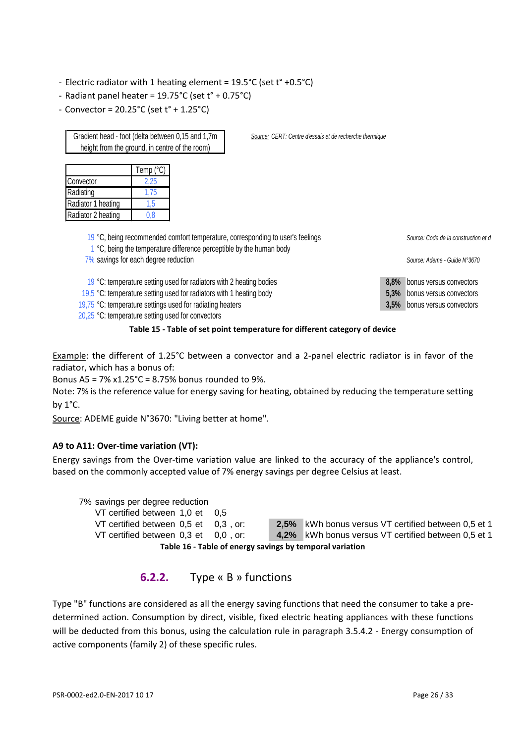- Electric radiator with 1 heating element = 19.5°C (set t° +0.5°C)
- Radiant panel heater = 19.75°C (set t° + 0.75°C)
- Convector = 20.25°C (set t° + 1.25°C)

Gradient head - foot (delta between 0,15 and 1,7m height from the ground, in centre of the room)

|                    | Temp $(^{\circ}C)$ |
|--------------------|--------------------|
| Convector          | 2.25               |
| Radiating          | 1.75               |
| Radiator 1 heating | 1.5                |
| Radiator 2 heating | 0.8                |

*Source: CERT: Centre d'essais et de recherche thermique*

| 19 °C, being recommended comfort temperature, corresponding to user's feelings<br>1 °C, being the temperature difference perceptible by the human body | Source: Code de la construction et d |                              |
|--------------------------------------------------------------------------------------------------------------------------------------------------------|--------------------------------------|------------------------------|
| 7% savings for each degree reduction                                                                                                                   |                                      | Source: Ademe - Guide N°3670 |
| 19 °C: temperature setting used for radiators with 2 heating bodies                                                                                    | $8.8\%$                              | bonus versus convectors      |
| 19,5 °C: temperature setting used for radiators with 1 heating body                                                                                    | $5.3\%$                              | bonus versus convectors      |
| 19,75 °C: temperature settings used for radiating heaters                                                                                              |                                      | 3,5% bonus versus convectors |
| 20,25 °C: temperature setting used for convectors                                                                                                      |                                      |                              |



Example: the different of 1.25°C between a convector and a 2-panel electric radiator is in favor of the radiator, which has a bonus of:

Bonus A5 = 7% x1.25°C = 8.75% bonus rounded to 9%.

Note: 7% is the reference value for energy saving for heating, obtained by reducing the temperature setting by 1°C.

Source: ADEME guide N°3670: "Living better at home".

#### **A9 to A11: Over-time variation (VT):**

Energy savings from the Over-time variation value are linked to the accuracy of the appliance's control, based on the commonly accepted value of 7% energy savings per degree Celsius at least.

7% savings per degree reduction

VT certified between 1,0 et 0,5 VT certified between 0,5 et 0,3, or: **2,5%** kWh bonus versus VT certified between 0,5 et 1 VT certified between 0,3 et 0,0, or: **4,2%** kWh bonus versus VT certified between 0,5 et 1 **Table 16 - Table of energy savings by temporal variation**

## **6.2.2.** Type « B » functions

Type "B" functions are considered as all the energy saving functions that need the consumer to take a predetermined action. Consumption by direct, visible, fixed electric heating appliances with these functions will be deducted from this bonus, using the calculation rule in paragraph 3.5.4.2 - Energy consumption of active components (family 2) of these specific rules.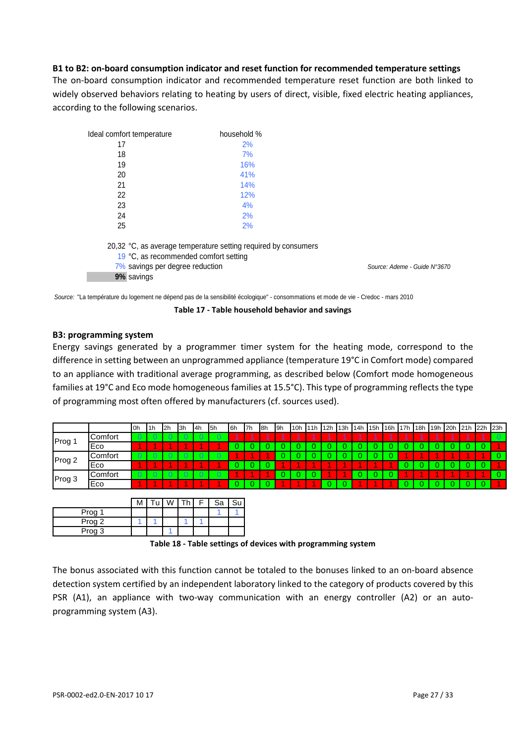#### **B1 to B2: on-board consumption indicator and reset function for recommended temperature settings**

The on-board consumption indicator and recommended temperature reset function are both linked to widely observed behaviors relating to heating by users of direct, visible, fixed electric heating appliances, according to the following scenarios.

| Ideal comfort temperature                                                | household %                                                    |                              |
|--------------------------------------------------------------------------|----------------------------------------------------------------|------------------------------|
| 17                                                                       | 2%                                                             |                              |
| 18                                                                       | 7%                                                             |                              |
| 19                                                                       | 16%                                                            |                              |
| 20                                                                       | 41%                                                            |                              |
| 21                                                                       | 14%                                                            |                              |
| 22                                                                       | 12%                                                            |                              |
| 23                                                                       | 4%                                                             |                              |
| 24                                                                       | 2%                                                             |                              |
| 25                                                                       | 2%                                                             |                              |
| 19 °C, as recommended comfort setting<br>7% savings per degree reduction | 20,32 °C, as average temperature setting required by consumers | Source: Ademe - Guide N°3670 |
| 9% savings                                                               |                                                                |                              |

*Source:* "La température du logement ne dépend pas de la sensibilité écologique" - consommations et mode de vie - Credoc - mars 2010

**Table 17 - Table household behavior and savings**

#### **B3: programming system**

Energy savings generated by a programmer timer system for the heating mode, correspond to the difference in setting between an unprogrammed appliance (temperature 19°C in Comfort mode) compared to an appliance with traditional average programming, as described below (Comfort mode homogeneous families at 19°C and Eco mode homogeneous families at 15.5°C). This type of programming reflects the type of programming most often offered by manufacturers (cf. sources used).

|        |                | 0h             | 1h             | 12h            | 13h            | 14h            | l5h | l6h | l7h | 18h | l <sub>9h</sub> | 10 <sub>h</sub> | 11h | 12h | 13h | 14h | 15h | 16h | 17h | 18h | 19h | 20h | 21h | 22h | 23h |
|--------|----------------|----------------|----------------|----------------|----------------|----------------|-----|-----|-----|-----|-----------------|-----------------|-----|-----|-----|-----|-----|-----|-----|-----|-----|-----|-----|-----|-----|
| Prog ' | Comfort        | 0              | -0             | -0             | $\overline{0}$ | $\overline{0}$ | 0   |     |     |     |                 |                 |     |     |     |     |     |     |     |     |     |     |     |     |     |
|        | Eco            |                |                |                |                |                |     |     |     |     |                 |                 |     |     |     |     |     |     |     |     |     |     |     |     |     |
| Prog 2 | Comfort        | $\circ$        | $\overline{0}$ | $\overline{0}$ | $\overline{0}$ | $\overline{0}$ | 0.  |     |     |     |                 |                 |     |     |     |     |     |     |     |     |     |     |     |     |     |
|        | Eco            |                |                |                |                |                |     |     |     |     |                 |                 |     |     |     |     |     |     |     |     |     |     |     |     |     |
| Prog 3 | <b>Comfort</b> | $\overline{0}$ | - 0-           | $\circ$        | - 0            | $\overline{0}$ | 0   |     |     |     |                 |                 |     |     |     |     |     |     |     |     |     |     |     |     |     |
|        | Eco            |                |                |                |                |                |     |     |     |     |                 |                 |     |     |     |     |     |     |     |     |     |     |     |     |     |

|        | м |  | 'n. | Sa | Su |
|--------|---|--|-----|----|----|
| Prog 1 |   |  |     |    |    |
| Prog 2 |   |  |     |    |    |
| Prog 3 |   |  |     |    |    |

**Table 18 - Table settings of devices with programming system**

The bonus associated with this function cannot be totaled to the bonuses linked to an on-board absence detection system certified by an independent laboratory linked to the category of products covered by this PSR (A1), an appliance with two-way communication with an energy controller (A2) or an autoprogramming system (A3).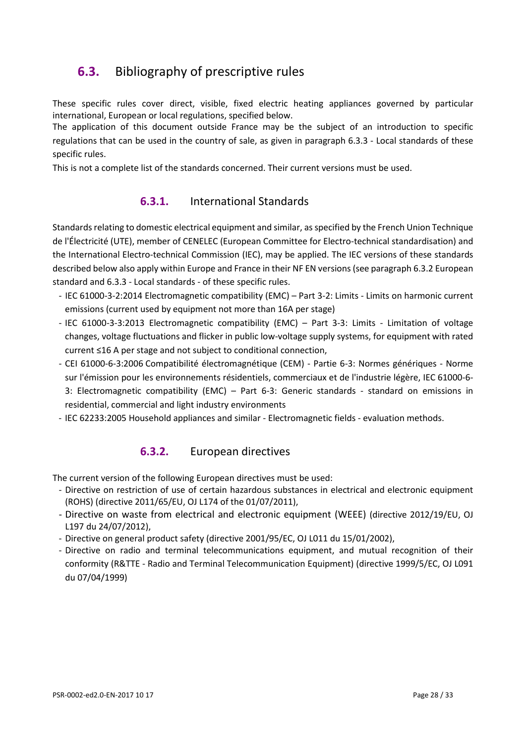# <span id="page-27-0"></span>**6.3.** Bibliography of prescriptive rules

These specific rules cover direct, visible, fixed electric heating appliances governed by particular international, European or local regulations, specified below.

The application of this document outside France may be the subject of an introduction to specific regulations that can be used in the country of sale, as given in paragraph 6.3.3 - Local standards of these specific rules.

This is not a complete list of the standards concerned. Their current versions must be used.

## **6.3.1.** International Standards

Standards relating to domestic electrical equipment and similar, as specified by the French Union Technique de l'Électricité (UTE), member of CENELEC (European Committee for Electro-technical standardisation) and the International Electro-technical Commission (IEC), may be applied. The IEC versions of these standards described below also apply within Europe and France in their NF EN versions (see paragraph [6.3.2](#page-27-1) European standard and [6.3.3](#page-28-1) - [Local standards](#page-28-1) - of these specific rules.

- IEC 61000-3-2:2014 Electromagnetic compatibility (EMC) Part 3-2: Limits Limits on harmonic current emissions (current used by equipment not more than 16A per stage)
- IEC 61000-3-3:2013 Electromagnetic compatibility (EMC) Part 3-3: Limits Limitation of voltage changes, voltage fluctuations and flicker in public low-voltage supply systems, for equipment with rated current ≤16 A per stage and not subject to conditional connection,
- CEI 61000-6-3:2006 Compatibilité électromagnétique (CEM) Partie 6-3: Normes génériques Norme sur l'émission pour les environnements résidentiels, commerciaux et de l'industrie légère, IEC 61000-6- 3: Electromagnetic compatibility (EMC) – Part 6-3: Generic standards - standard on emissions in residential, commercial and light industry environments
- <span id="page-27-1"></span>- IEC 62233:2005 Household appliances and similar - Electromagnetic fields - evaluation methods.

## **6.3.2.** European directives

The current version of the following European directives must be used:

- Directive on restriction of use of certain hazardous substances in electrical and electronic equipment (ROHS) (directive 2011/65/EU, OJ L174 of the 01/07/2011),
- Directive on waste from electrical and electronic equipment (WEEE) (directive 2012/19/EU, OJ L197 du 24/07/2012),
- Directive on general product safety (directive 2001/95/EC, OJ L011 du 15/01/2002),
- Directive on radio and terminal telecommunications equipment, and mutual recognition of their conformity (R&TTE - Radio and Terminal Telecommunication Equipment) (directive 1999/5/EC, OJ L091 du 07/04/1999)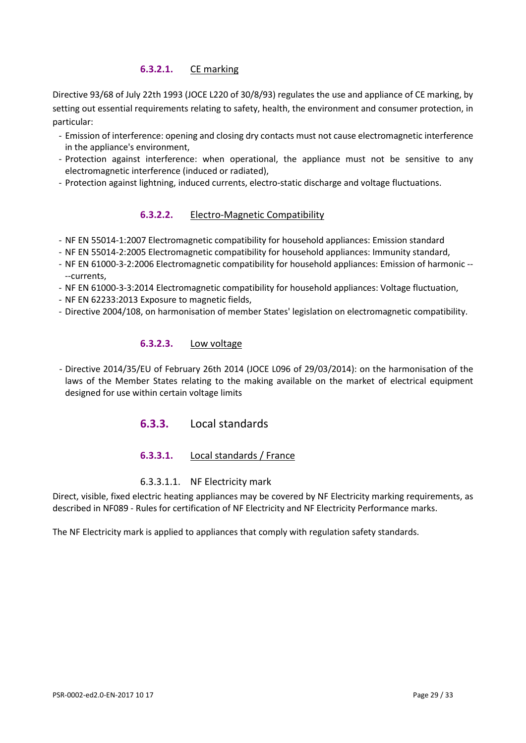## **6.3.2.1.** CE marking

Directive 93/68 of July 22th 1993 (JOCE L220 of 30/8/93) regulates the use and appliance of CE marking, by setting out essential requirements relating to safety, health, the environment and consumer protection, in particular:

- Emission of interference: opening and closing dry contacts must not cause electromagnetic interference in the appliance's environment,
- Protection against interference: when operational, the appliance must not be sensitive to any electromagnetic interference (induced or radiated),
- Protection against lightning, induced currents, electro-static discharge and voltage fluctuations.

## **6.3.2.2.** Electro-Magnetic Compatibility

- NF EN 55014-1:2007 Electromagnetic compatibility for household appliances: Emission standard
- NF EN 55014-2:2005 Electromagnetic compatibility for household appliances: Immunity standard,
- NF EN 61000-3-2:2006 Electromagnetic compatibility for household appliances: Emission of harmonic -- --currents,
- NF EN 61000-3-3:2014 Electromagnetic compatibility for household appliances: Voltage fluctuation,
- NF EN 62233:2013 Exposure to magnetic fields,
- Directive 2004/108, on harmonisation of member States' legislation on electromagnetic compatibility.

## **6.3.2.3.** Low voltage

<span id="page-28-1"></span>- Directive 2014/35/EU of February 26th 2014 (JOCE L096 of 29/03/2014): on the harmonisation of the laws of the Member States relating to the making available on the market of electrical equipment designed for use within certain voltage limits

## **6.3.3.** Local standards

## **6.3.3.1.** Local standards / France

#### 6.3.3.1.1. NF Electricity mark

<span id="page-28-0"></span>Direct, visible, fixed electric heating appliances may be covered by NF Electricity marking requirements, as described in NF089 - Rules for certification of NF Electricity and NF Electricity Performance marks.

The NF Electricity mark is applied to appliances that comply with regulation safety standards.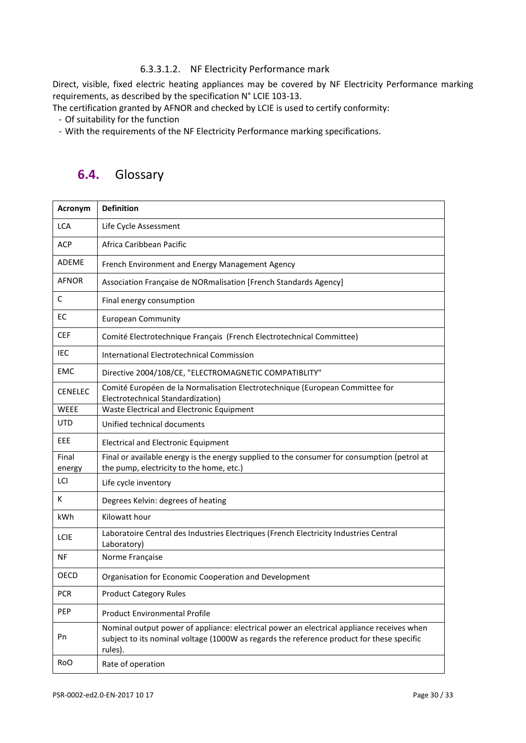#### 6.3.3.1.2. NF Electricity Performance mark

Direct, visible, fixed electric heating appliances may be covered by NF Electricity Performance marking requirements, as described by the specification N° LCIE 103-13.

The certification granted by AFNOR and checked by LCIE is used to certify conformity:

- Of suitability for the function

<span id="page-29-0"></span>- With the requirements of the NF Electricity Performance marking specifications.

# **6.4.** Glossary

| Acronym         | <b>Definition</b>                                                                                                                                                                                 |
|-----------------|---------------------------------------------------------------------------------------------------------------------------------------------------------------------------------------------------|
| <b>LCA</b>      | Life Cycle Assessment                                                                                                                                                                             |
| <b>ACP</b>      | Africa Caribbean Pacific                                                                                                                                                                          |
| <b>ADEME</b>    | French Environment and Energy Management Agency                                                                                                                                                   |
| <b>AFNOR</b>    | Association Française de NORmalisation [French Standards Agency]                                                                                                                                  |
| C               | Final energy consumption                                                                                                                                                                          |
| EC              | <b>European Community</b>                                                                                                                                                                         |
| <b>CEF</b>      | Comité Electrotechnique Français (French Electrotechnical Committee)                                                                                                                              |
| IEC             | International Electrotechnical Commission                                                                                                                                                         |
| <b>EMC</b>      | Directive 2004/108/CE, "ELECTROMAGNETIC COMPATIBLITY"                                                                                                                                             |
| <b>CENELEC</b>  | Comité Européen de la Normalisation Electrotechnique (European Committee for<br>Electrotechnical Standardization)                                                                                 |
| <b>WEEE</b>     | Waste Electrical and Electronic Equipment                                                                                                                                                         |
| <b>UTD</b>      | Unified technical documents                                                                                                                                                                       |
| EEE             | <b>Electrical and Electronic Equipment</b>                                                                                                                                                        |
| Final<br>energy | Final or available energy is the energy supplied to the consumer for consumption (petrol at<br>the pump, electricity to the home, etc.)                                                           |
| LCI             | Life cycle inventory                                                                                                                                                                              |
| К               | Degrees Kelvin: degrees of heating                                                                                                                                                                |
| kWh             | Kilowatt hour                                                                                                                                                                                     |
| <b>LCIE</b>     | Laboratoire Central des Industries Electriques (French Electricity Industries Central<br>Laboratory)                                                                                              |
| NF              | Norme Française                                                                                                                                                                                   |
| OECD            | Organisation for Economic Cooperation and Development                                                                                                                                             |
| <b>PCR</b>      | <b>Product Category Rules</b>                                                                                                                                                                     |
| PEP             | <b>Product Environmental Profile</b>                                                                                                                                                              |
| Pn              | Nominal output power of appliance: electrical power an electrical appliance receives when<br>subject to its nominal voltage (1000W as regards the reference product for these specific<br>rules). |
| Ro <sub>O</sub> | Rate of operation                                                                                                                                                                                 |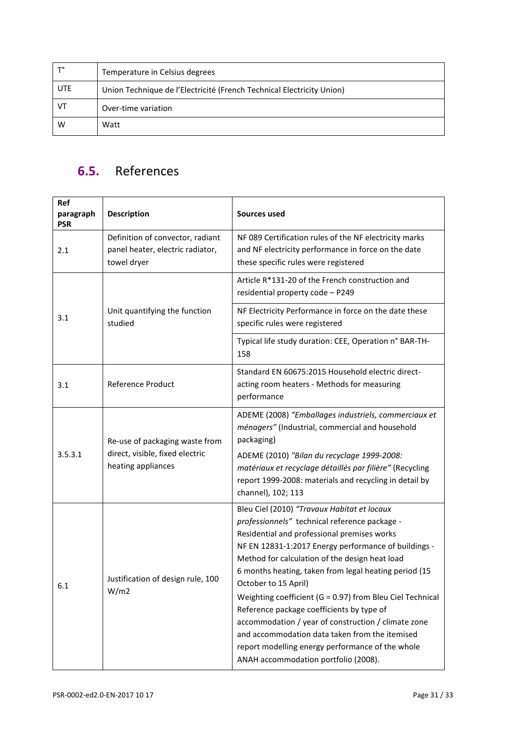| $T^{\circ}$ | Temperature in Celsius degrees                                        |
|-------------|-----------------------------------------------------------------------|
| <b>UTE</b>  | Union Technique de l'Electricité (French Technical Electricity Union) |
| VT          | Over-time variation                                                   |
| W           | Watt                                                                  |

# <span id="page-30-0"></span>**6.5.** References

| Ref<br>paragraph<br><b>PSR</b> | <b>Description</b>                                                                      | Sources used                                                                                                                                                                                                                                                                                                                                                                                                                                                                                                                                                                                                                                          |
|--------------------------------|-----------------------------------------------------------------------------------------|-------------------------------------------------------------------------------------------------------------------------------------------------------------------------------------------------------------------------------------------------------------------------------------------------------------------------------------------------------------------------------------------------------------------------------------------------------------------------------------------------------------------------------------------------------------------------------------------------------------------------------------------------------|
| 2.1                            | Definition of convector, radiant<br>panel heater, electric radiator,<br>towel dryer     | NF 089 Certification rules of the NF electricity marks<br>and NF electricity performance in force on the date<br>these specific rules were registered                                                                                                                                                                                                                                                                                                                                                                                                                                                                                                 |
|                                |                                                                                         | Article R*131-20 of the French construction and<br>residential property code - P249                                                                                                                                                                                                                                                                                                                                                                                                                                                                                                                                                                   |
| 3.1                            | Unit quantifying the function<br>studied                                                | NF Electricity Performance in force on the date these<br>specific rules were registered                                                                                                                                                                                                                                                                                                                                                                                                                                                                                                                                                               |
|                                |                                                                                         | Typical life study duration: CEE, Operation n° BAR-TH-<br>158                                                                                                                                                                                                                                                                                                                                                                                                                                                                                                                                                                                         |
| 3.1                            | <b>Reference Product</b>                                                                | Standard EN 60675:2015 Household electric direct-<br>acting room heaters - Methods for measuring<br>performance                                                                                                                                                                                                                                                                                                                                                                                                                                                                                                                                       |
| 3.5.3.1                        | Re-use of packaging waste from<br>direct, visible, fixed electric<br>heating appliances | ADEME (2008) "Emballages industriels, commerciaux et<br>ménagers" (Industrial, commercial and household<br>packaging)<br>ADEME (2010) "Bilan du recyclage 1999-2008:<br>matériaux et recyclage détaillés par filière" (Recycling<br>report 1999-2008: materials and recycling in detail by<br>channel), 102; 113                                                                                                                                                                                                                                                                                                                                      |
| 6.1                            | Justification of design rule, 100<br>W/m2                                               | Bleu Ciel (2010) "Travaux Habitat et locaux<br>professionnels" technical reference package -<br>Residential and professional premises works<br>NF EN 12831-1:2017 Energy performance of buildings -<br>Method for calculation of the design heat load<br>6 months heating, taken from legal heating period (15<br>October to 15 April)<br>Weighting coefficient (G = 0.97) from Bleu Ciel Technical<br>Reference package coefficients by type of<br>accommodation / year of construction / climate zone<br>and accommodation data taken from the itemised<br>report modelling energy performance of the whole<br>ANAH accommodation portfolio (2008). |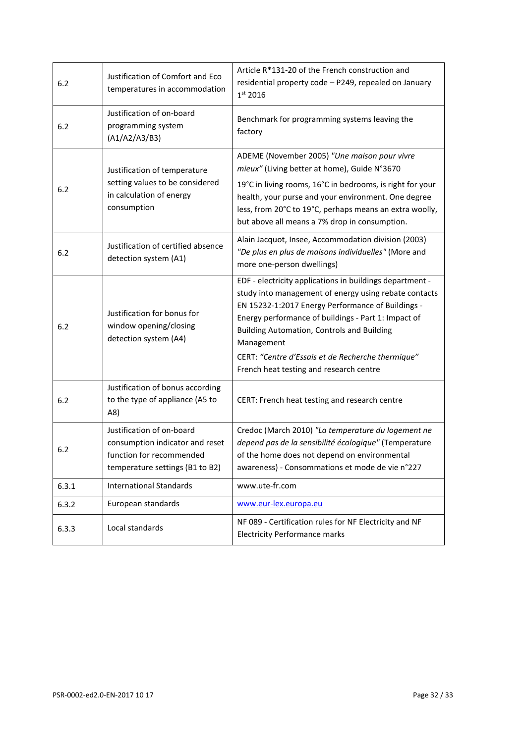| $6.2$ | Justification of Comfort and Eco<br>temperatures in accommodation                                                           | Article R*131-20 of the French construction and<br>residential property code - P249, repealed on January<br>1 <sup>st</sup> 2016                                                                                                                                                                                                                                                                 |
|-------|-----------------------------------------------------------------------------------------------------------------------------|--------------------------------------------------------------------------------------------------------------------------------------------------------------------------------------------------------------------------------------------------------------------------------------------------------------------------------------------------------------------------------------------------|
| 6.2   | Justification of on-board<br>programming system<br>(A1/A2/A3/B3)                                                            | Benchmark for programming systems leaving the<br>factory                                                                                                                                                                                                                                                                                                                                         |
| 6.2   | Justification of temperature<br>setting values to be considered<br>in calculation of energy<br>consumption                  | ADEME (November 2005) "Une maison pour vivre<br>mieux" (Living better at home), Guide N°3670<br>19°C in living rooms, 16°C in bedrooms, is right for your<br>health, your purse and your environment. One degree<br>less, from 20°C to 19°C, perhaps means an extra woolly,<br>but above all means a 7% drop in consumption.                                                                     |
| 6.2   | Justification of certified absence<br>detection system (A1)                                                                 | Alain Jacquot, Insee, Accommodation division (2003)<br>"De plus en plus de maisons individuelles" (More and<br>more one-person dwellings)                                                                                                                                                                                                                                                        |
| $6.2$ | Justification for bonus for<br>window opening/closing<br>detection system (A4)                                              | EDF - electricity applications in buildings department -<br>study into management of energy using rebate contacts<br>EN 15232-1:2017 Energy Performance of Buildings -<br>Energy performance of buildings - Part 1: Impact of<br><b>Building Automation, Controls and Building</b><br>Management<br>CERT: "Centre d'Essais et de Recherche thermique"<br>French heat testing and research centre |
| $6.2$ | Justification of bonus according<br>to the type of appliance (A5 to<br>A8)                                                  | CERT: French heat testing and research centre                                                                                                                                                                                                                                                                                                                                                    |
| 6.2   | Justification of on-board<br>consumption indicator and reset<br>function for recommended<br>temperature settings (B1 to B2) | Credoc (March 2010) "La temperature du logement ne<br>depend pas de la sensibilité écologique" (Temperature<br>of the home does not depend on environmental<br>awareness) - Consommations et mode de vie n°227                                                                                                                                                                                   |
| 6.3.1 | <b>International Standards</b>                                                                                              | www.ute-fr.com                                                                                                                                                                                                                                                                                                                                                                                   |
| 6.3.2 | European standards                                                                                                          | www.eur-lex.europa.eu                                                                                                                                                                                                                                                                                                                                                                            |
| 6.3.3 | Local standards                                                                                                             | NF 089 - Certification rules for NF Electricity and NF<br><b>Electricity Performance marks</b>                                                                                                                                                                                                                                                                                                   |